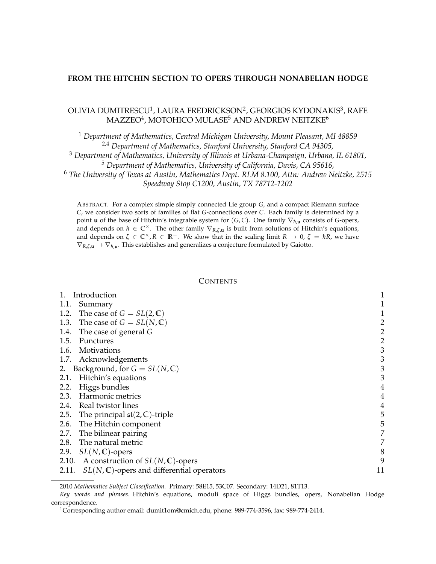## **FROM THE HITCHIN SECTION TO OPERS THROUGH NONABELIAN HODGE**

# OLIVIA DUMITRESCU<sup>1</sup>, LAURA FREDRICKSON<sup>2</sup>, GEORGIOS KYDONAKIS<sup>3</sup>, RAFE MAZZEO $^4$ , MOTOHICO MULASE $^5$  AND ANDREW NEITZKE $^6$

 *Department of Mathematics, Central Michigan University, Mount Pleasant, MI 48859* 2,4 *Department of Mathematics, Stanford University, Stanford CA 94305, Department of Mathematics, University of Illinois at Urbana-Champaign, Urbana, IL 61801, Department of Mathematics, University of California, Davis, CA 95616, The University of Texas at Austin, Mathematics Dept. RLM 8.100, Attn: Andrew Neitzke, 2515 Speedway Stop C1200, Austin, TX 78712-1202*

ABSTRACT. For a complex simple simply connected Lie group *G*, and a compact Riemann surface *C*, we consider two sorts of families of flat *G*-connections over *C*. Each family is determined by a point **u** of the base of Hitchin's integrable system for  $(G, C)$ . One family  $\nabla_{h, \mathbf{u}}$  consists of *G*-opers, and depends on  $\hbar \in \mathbb{C}^{\times}$ . The other family  $\nabla_{R,\zeta,\mathbf{u}}$  is built from solutions of Hitchin's equations, and depends on  $\zeta \in \mathbb{C}^{\times}, R \in \mathbb{R}^+$ . We show that in the scaling limit  $R \to 0$ ,  $\zeta = \hbar R$ , we have  $\nabla_{R,\zeta,\mathbf{u}} \to \nabla_{\hbar,\mathbf{u}}$ . This establishes and generalizes a conjecture formulated by Gaiotto.

## **CONTENTS**

| Introduction                                                   |                |
|----------------------------------------------------------------|----------------|
| 1.1.<br>Summary                                                |                |
| 1.2. The case of $G = SL(2, \mathbb{C})$                       |                |
| 1.3. The case of $G = SL(N, \mathbb{C})$                       | $\overline{c}$ |
| 1.4.<br>The case of general G                                  | $\overline{c}$ |
| 1.5.<br>Punctures                                              | $rac{2}{3}$    |
| 1.6. Motivations                                               |                |
| 1.7. Acknowledgements                                          | 3              |
| Background, for $G = SL(N, \mathbb{C})$<br>2.                  | 3              |
| Hitchin's equations<br>2.1.                                    | 3              |
| Higgs bundles<br>2.2.                                          | $\overline{4}$ |
| 2.3.<br>Harmonic metrics                                       | $\overline{4}$ |
| 2.4. Real twistor lines                                        |                |
| 2.5. The principal $\mathfrak{sl}(2,\mathbb{C})$ -triple       | 5              |
| 2.6. The Hitchin component                                     | 5              |
| 2.7.<br>The bilinear pairing                                   | 7              |
| 2.8. The natural metric                                        | 7              |
| $SL(N,\mathbb{C})$ -opers<br>2.9.                              | 8              |
| 2.10. A construction of $SL(N, \mathbb{C})$ -opers             | 9              |
| $SL(N, \mathbb{C})$ -opers and differential operators<br>2.11. | 11             |

<sup>2010</sup> *Mathematics Subject Classification.* Primary: 58E15, 53C07. Secondary: 14D21, 81T13.

*Key words and phrases.* Hitchin's equations, moduli space of Higgs bundles, opers, Nonabelian Hodge correspondence.

<sup>1</sup>Corresponding author email: dumit1om@cmich.edu, phone: 989-774-3596, fax: 989-774-2414.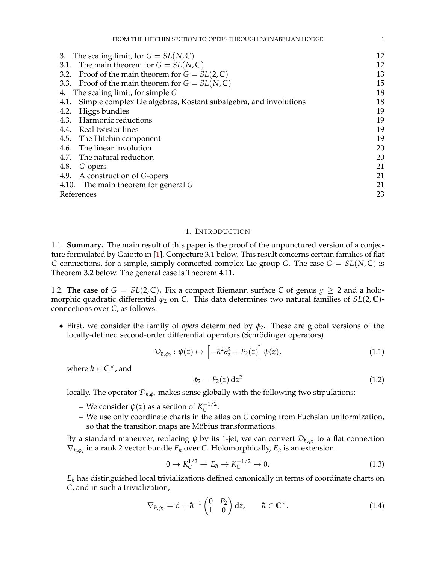| 12 |
|----|
| 12 |
| 13 |
| 15 |
| 18 |
| 18 |
| 19 |
| 19 |
| 19 |
| 19 |
| 20 |
| 20 |
| 21 |
| 21 |
| 21 |
| 23 |
|    |

## 1. INTRODUCTION

<span id="page-1-1"></span><span id="page-1-0"></span>1.1. **Summary.** The main result of this paper is the proof of the unpunctured version of a conjecture formulated by Gaiotto in [\[1\]](#page-23-1), Conjecture [3.1](#page-12-2) below. This result concerns certain families of flat *G*-connections, for a simple, simply connected complex Lie group *G*. The case  $G = SL(N, \mathbb{C})$  is Theorem [3.2](#page-13-1) below. The general case is Theorem [4.11.](#page-22-0)

<span id="page-1-2"></span>1.2. **The case of**  $G = SL(2,\mathbb{C})$ . Fix a compact Riemann surface C of genus  $g \geq 2$  and a holomorphic quadratic differential  $\phi_2$  on *C*. This data determines two natural families of *SL*(2, C)connections over *C*, as follows.

• First, we consider the family of *opers* determined by  $\phi_2$ . These are global versions of the locally-defined second-order differential operators (Schrödinger operators)

<span id="page-1-4"></span>
$$
\mathcal{D}_{\hbar,\phi_2} : \psi(z) \mapsto \left[ -\hbar^2 \partial_z^2 + P_2(z) \right] \psi(z), \tag{1.1}
$$

where  $\hbar \in \mathbb{C}^{\times}$ , and

$$
\phi_2 = P_2(z) dz^2 \tag{1.2}
$$

locally. The operator  $\mathcal{D}_{\hbar,\phi_2}$  makes sense globally with the following two stipulations:

- $-$  We consider  $ψ(z)$  as a section of  $K_C^{-1/2}$  $\bar{C}^{1/2}$ .
- **–** We use only coordinate charts in the atlas on *C* coming from Fuchsian uniformization, so that the transition maps are Möbius transformations.

By a standard maneuver, replacing  $\psi$  by its 1-jet, we can convert  $\mathcal{D}_{\hbar,\phi_2}$  to a flat connection  $\nabla_{\hbar,\phi_2}$  in a rank 2 vector bundle  $E_{\hbar}$  over *C*. Holomorphically,  $E_{\hbar}$  is an extension

$$
0 \to K_C^{1/2} \to E_\hbar \to K_C^{-1/2} \to 0. \tag{1.3}
$$

 $E<sub>h</sub>$  has distinguished local trivializations defined canonically in terms of coordinate charts on *C*, and in such a trivialization,

<span id="page-1-3"></span>
$$
\nabla_{\hbar,\phi_2} = \mathbf{d} + \hbar^{-1} \begin{pmatrix} 0 & P_2 \\ 1 & 0 \end{pmatrix} \mathbf{d}z, \qquad \hbar \in \mathbb{C}^\times. \tag{1.4}
$$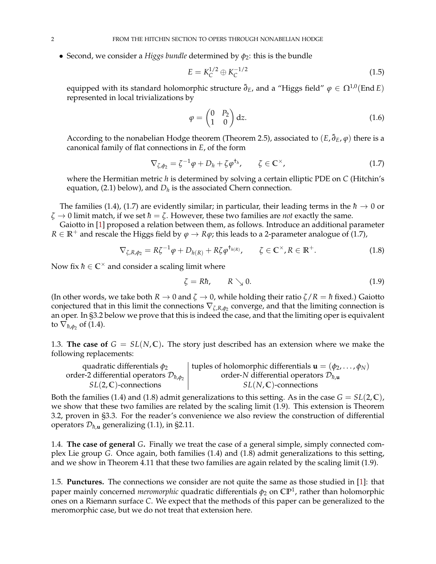• Second, we consider a *Higgs bundle* determined by  $\phi_2$ : this is the bundle

$$
E = K_C^{1/2} \oplus K_C^{-1/2}
$$
 (1.5)

equipped with its standard holomorphic structure  $\bar{\partial}_E$ , and a "Higgs field"  $\varphi \in \Omega^{1,0}(\text{End }E)$ represented in local trivializations by

$$
\varphi = \begin{pmatrix} 0 & P_2 \\ 1 & 0 \end{pmatrix} dz.
$$
 (1.6)

According to the nonabelian Hodge theorem (Theorem [2.5\)](#page-4-3), associated to  $(E, \bar{\partial}_E, \varphi)$  there is a canonical family of flat connections in *E*, of the form

<span id="page-2-3"></span>
$$
\nabla_{\zeta,\phi_2} = \zeta^{-1}\varphi + D_h + \zeta\varphi^{\dagger_h}, \qquad \zeta \in \mathbb{C}^\times,\tag{1.7}
$$

where the Hermitian metric *h* is determined by solving a certain elliptic PDE on *C* (Hitchin's equation,  $(2.1)$  below), and  $D_h$  is the associated Chern connection.

The families [\(1.4\)](#page-1-3), [\(1.7\)](#page-2-3) are evidently similar; in particular, their leading terms in the  $\hbar \to 0$  or  $\zeta \rightarrow 0$  limit match, if we set  $\hbar = \zeta$ . However, these two families are *not* exactly the same.

Gaiotto in [\[1\]](#page-23-1) proposed a relation between them, as follows. Introduce an additional parameter *R* ∈ **R**<sup>+</sup> and rescale the Higgs field by  $\varphi$  → *R* $\varphi$ ; this leads to a 2-parameter analogue of [\(1.7\)](#page-2-3),

<span id="page-2-4"></span>
$$
\nabla_{\zeta,R,\phi_2} = R\zeta^{-1}\varphi + D_{h(R)} + R\zeta\varphi^{\dagger_{h(R)}}, \qquad \zeta \in \mathbb{C}^\times, R \in \mathbb{R}^+.
$$
 (1.8)

Now fix  $\hbar \in \mathbb{C}^{\times}$  and consider a scaling limit where

<span id="page-2-5"></span>
$$
\zeta = R\hbar, \qquad R \searrow 0. \tag{1.9}
$$

(In other words, we take both  $R \to 0$  and  $\zeta \to 0$ , while holding their ratio  $\zeta/R = \hbar$  fixed.) Gaiotto conjectured that in this limit the connections ∇*ζ*,*R*,*φ*<sup>2</sup> converge, and that the limiting connection is an oper. In [§3.2](#page-13-0) below we prove that this is indeed the case, and that the limiting oper is equivalent to  $\nabla_{\hbar,\phi_2}$  of [\(1.4\)](#page-1-3).

<span id="page-2-0"></span>1.3. **The case of**  $G = SL(N, \mathbb{C})$ . The story just described has an extension where we make the following replacements:

| quadratic differentials $\phi_2$                            | tuples of holomorphic differentials $\mathbf{u} = (\phi_2, \dots, \phi_N)$ |
|-------------------------------------------------------------|----------------------------------------------------------------------------|
| order-2 differential operators $\mathcal{D}_{\hbar,\phi_2}$ | order-N differential operators $\mathcal{D}_{h,\mathbf{u}}$                |
| $SL(2,\mathbb{C})$ -connections                             | $SL(N,\mathbb{C})$ -connections                                            |

Both the families [\(1.4\)](#page-1-3) and [\(1.8\)](#page-2-4) admit generalizations to this setting. As in the case  $G = SL(2, \mathbb{C})$ , we show that these two families are related by the scaling limit [\(1.9\)](#page-2-5). This extension is Theorem [3.2,](#page-13-1) proven in [§3.3.](#page-15-0) For the reader's convenience we also review the construction of differential operators  $\mathcal{D}_{\hbar, \mathbf{u}}$  generalizing [\(1.1\)](#page-1-4), in [§2.11.](#page-11-0)

<span id="page-2-1"></span>1.4. **The case of general** *G***.** Finally we treat the case of a general simple, simply connected complex Lie group *G*. Once again, both families [\(1.4\)](#page-1-3) and [\(1.8\)](#page-2-4) admit generalizations to this setting, and we show in Theorem [4.11](#page-22-0) that these two families are again related by the scaling limit [\(1.9\)](#page-2-5).

<span id="page-2-2"></span>1.5. **Punctures.** The connections we consider are not quite the same as those studied in [\[1\]](#page-23-1): that paper mainly concerned *meromorphic* quadratic differentials *φ*<sup>2</sup> on **CP**<sup>1</sup> , rather than holomorphic ones on a Riemann surface *C*. We expect that the methods of this paper can be generalized to the meromorphic case, but we do not treat that extension here.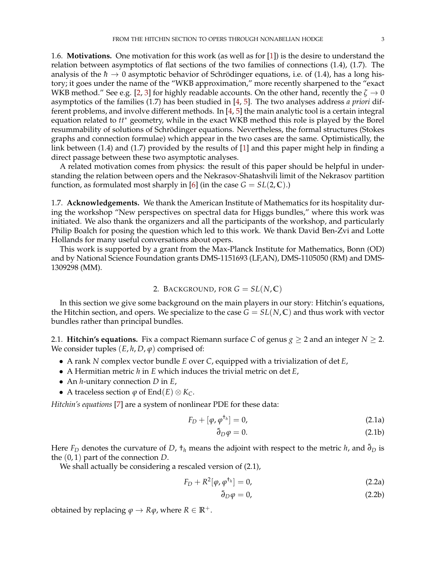<span id="page-3-0"></span>1.6. **Motivations.** One motivation for this work (as well as for [\[1\]](#page-23-1)) is the desire to understand the relation between asymptotics of flat sections of the two families of connections [\(1.4\)](#page-1-3), [\(1.7\)](#page-2-3). The analysis of the  $h \to 0$  asymptotic behavior of Schrödinger equations, i.e. of [\(1.4\)](#page-1-3), has a long history; it goes under the name of the "WKB approximation," more recently sharpened to the "exact WKB method." See e.g. [\[2,](#page-23-2) [3\]](#page-23-3) for highly readable accounts. On the other hand, recently the  $\zeta \to 0$ asymptotics of the families [\(1.7\)](#page-2-3) has been studied in [\[4,](#page-23-4) [5\]](#page-23-5). The two analyses address *a priori* different problems, and involve different methods. In [\[4,](#page-23-4) [5\]](#page-23-5) the main analytic tool is a certain integral equation related to *tt*<sup>∗</sup> geometry, while in the exact WKB method this role is played by the Borel resummability of solutions of Schrödinger equations. Nevertheless, the formal structures (Stokes graphs and connection formulae) which appear in the two cases are the same. Optimistically, the link between [\(1.4\)](#page-1-3) and [\(1.7\)](#page-2-3) provided by the results of [\[1\]](#page-23-1) and this paper might help in finding a direct passage between these two asymptotic analyses.

A related motivation comes from physics: the result of this paper should be helpful in understanding the relation between opers and the Nekrasov-Shatashvili limit of the Nekrasov partition function, as formulated most sharply in [\[6\]](#page-23-6) (in the case  $G = SL(2, \mathbb{C})$ .)

<span id="page-3-1"></span>1.7. **Acknowledgements.** We thank the American Institute of Mathematics for its hospitality during the workshop "New perspectives on spectral data for Higgs bundles," where this work was initiated. We also thank the organizers and all the participants of the workshop, and particularly Philip Boalch for posing the question which led to this work. We thank David Ben-Zvi and Lotte Hollands for many useful conversations about opers.

This work is supported by a grant from the Max-Planck Institute for Mathematics, Bonn (OD) and by National Science Foundation grants DMS-1151693 (LF,AN), DMS-1105050 (RM) and DMS-1309298 (MM).

## 2. BACKGROUND, FOR  $G = SL(N, \mathbb{C})$

<span id="page-3-2"></span>In this section we give some background on the main players in our story: Hitchin's equations, the Hitchin section, and opers. We specialize to the case  $G = SL(N, \mathbb{C})$  and thus work with vector bundles rather than principal bundles.

<span id="page-3-3"></span>2.1. **Hitchin's equations.** Fix a compact Riemann surface *C* of genus  $g \ge 2$  and an integer  $N \ge 2$ . We consider tuples  $(E, h, D, \varphi)$  comprised of:

- A rank *N* complex vector bundle *E* over *C*, equipped with a trivialization of det *E*,
- A Hermitian metric *h* in *E* which induces the trivial metric on det *E*,
- An *h*-unitary connection *D* in *E*,
- A traceless section *ϕ* of End(*E*) ⊗ *KC*.

*Hitchin's equations* [\[7\]](#page-23-7) are a system of nonlinear PDE for these data:

$$
F_D + [\varphi, \varphi^{\dagger_h}] = 0, \tag{2.1a}
$$

<span id="page-3-4"></span>
$$
\bar{\partial}_D \varphi = 0. \tag{2.1b}
$$

Here  $F_D$  denotes the curvature of *D*,  $\tau_h$  means the adjoint with respect to the metric *h*, and  $\bar{\partial}_D$  is the (0, 1) part of the connection *D*.

We shall actually be considering a rescaled version of  $(2.1)$ ,

$$
F_D + R^2[\varphi, \varphi^{\dagger_h}] = 0, \qquad (2.2a)
$$

<span id="page-3-7"></span><span id="page-3-6"></span><span id="page-3-5"></span>
$$
\bar{\partial}_D \varphi = 0,\tag{2.2b}
$$

obtained by replacing  $\varphi \to R\varphi$ , where  $R \in \mathbb{R}^+$ .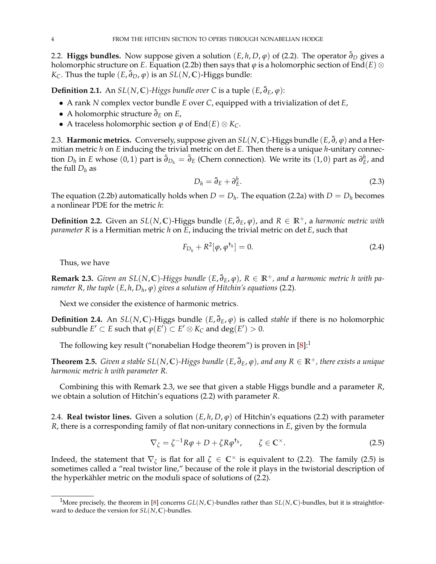<span id="page-4-0"></span>2.2. **Higgs bundles.** Now suppose given a solution  $(E, h, D, \varphi)$  of [\(2.2\)](#page-3-5). The operator  $\bar{\partial}_D$  gives a holomorphic structure on *E*. Equation [\(2.2b\)](#page-3-6) then says that  $\varphi$  is a holomorphic section of End(*E*) ⊗  $K_C$ . Thus the tuple  $(E, \bar{\partial}_D, \varphi)$  is an  $SL(N, \mathbb{C})$ -Higgs bundle:

**Definition 2.1.** An  $SL(N, \mathbb{C})$ -Higgs bundle over C is a tuple  $(E, \bar{\partial}_E, \varphi)$ :

- A rank *N* complex vector bundle *E* over *C*, equipped with a trivialization of det *E*,
- A holomorphic structure ¯*∂<sup>E</sup>* on *E*,
- A traceless holomorphic section *ϕ* of End(*E*) ⊗ *KC*.

<span id="page-4-1"></span>2.3. **Harmonic metrics.** Conversely, suppose given an  $SL(N,\mathbb{C})$ -Higgs bundle  $(E, \bar{\partial}, \varphi)$  and a Hermitian metric *h* on *E* inducing the trivial metric on det *E*. Then there is a unique *h*-unitary connection  $D_h$  in *E* whose  $(0,1)$  part is  $\bar{\partial}_{D_h} = \bar{\partial}_E$  (Chern connection). We write its  $(1,0)$  part as  $\partial_E^h$ , and the full  $D_h$  as

$$
D_h = \bar{\partial}_E + \partial_E^h. \tag{2.3}
$$

The equation [\(2.2b\)](#page-3-6) automatically holds when  $D = D_h$ . The equation [\(2.2a\)](#page-3-7) with  $D = D_h$  becomes a nonlinear PDE for the metric *h*:

**Definition 2.2.** Given an *SL*(*N*, **C**)-Higgs bundle (*E*, ¯*∂E*, *ϕ*), and *R* ∈ **R**+, a *harmonic metric with parameter R* is a Hermitian metric *h* on *E*, inducing the trivial metric on det *E*, such that

<span id="page-4-7"></span>
$$
F_{D_h} + R^2[\varphi, \varphi^{\dagger_h}] = 0. \tag{2.4}
$$

Thus, we have

<span id="page-4-5"></span> $R$ emark 2.3. *Given an SL*(N, ℂ)-Higgs bundle (E,  $\bar{\partial}_E$ ,  $\varphi$ ),  $R ∈ \mathbb{R}^+$ , and a harmonic metric h with pa*rameter R, the tuple* (*E*, *h*, *D<sup>h</sup>* , *ϕ*) *gives a solution of Hitchin's equations* [\(2.2\)](#page-3-5)*.*

Next we consider the existence of harmonic metrics.

**Definition 2.4.** An  $SL(N, \mathbb{C})$ -Higgs bundle  $(E, \bar{\partial}_E, \varphi)$  is called *stable* if there is no holomorphic  $\mathsf{subbundle}\; E' \subset E \;\mathsf{such\;that}\; \varphi(E') \subset E' \otimes K_C \;\mathsf{and}\; \deg(E') > 0.$ 

The following key result ("nonabelian Hodge theorem") is proven in  $[8]$ :

<span id="page-4-3"></span>**Theorem 2.5.** *Given a stable SL*(*N*, **C**)*-Higgs bundle* (*E*, ¯*∂E*, *ϕ*)*, and any R* ∈ **R**+*, there exists a unique harmonic metric h with parameter R.*

Combining this with Remark [2.3,](#page-4-5) we see that given a stable Higgs bundle and a parameter *R*, we obtain a solution of Hitchin's equations [\(2.2\)](#page-3-5) with parameter *R*.

<span id="page-4-2"></span>2.4. **Real twistor lines.** Given a solution (*E*, *h*, *D*, *ϕ*) of Hitchin's equations [\(2.2\)](#page-3-5) with parameter *R*, there is a corresponding family of flat non-unitary connections in *E*, given by the formula

<span id="page-4-6"></span>
$$
\nabla_{\zeta} = \zeta^{-1} R \varphi + D + \zeta R \varphi^{\dagger_h}, \qquad \zeta \in \mathbb{C}^{\times}.
$$
 (2.5)

Indeed, the statement that  $\nabla_{\zeta}$  is flat for all  $\zeta \in \mathbb{C}^{\times}$  is equivalent to [\(2.2\)](#page-3-5). The family [\(2.5\)](#page-4-6) is sometimes called a "real twistor line," because of the role it plays in the twistorial description of the hyperkähler metric on the moduli space of solutions of [\(2.2\)](#page-3-5).

<span id="page-4-4"></span><sup>&</sup>lt;sup>1</sup>More precisely, the theorem in [\[8\]](#page-23-8) concerns  $GL(N, \mathbb{C})$ -bundles rather than  $SL(N, \mathbb{C})$ -bundles, but it is straightforward to deduce the version for *SL*(*N*, **C**)-bundles.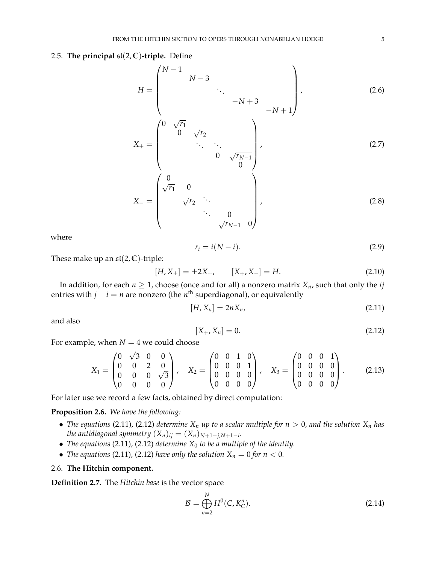## <span id="page-5-0"></span>2.5. **The principal**  $\mathfrak{sl}(2,\mathbb{C})$ -triple. Define

<span id="page-5-4"></span>
$$
H = \begin{pmatrix} N-1 & & & & \\ & N-3 & & & \\ & & \ddots & & \\ & & & -N+3 & \\ & & & & -N+1 \end{pmatrix}, \qquad (2.6)
$$
  
\n
$$
X_{+} = \begin{pmatrix} 0 & \sqrt{r_{1}} & & & \\ & 0 & \sqrt{r_{2}} & & \\ & & \ddots & \ddots & \\ & & & 0 & \sqrt{r_{N-1}} \\ & & & & 0 \end{pmatrix}, \qquad (2.7)
$$
  
\n
$$
X_{-} = \begin{pmatrix} 0 & & & \\ \sqrt{r_{1}} & 0 & & \\ & \sqrt{r_{2}} & \ddots & \\ & & & \ddots & 0 \\ & & & & \sqrt{r_{N-1}} & 0 \end{pmatrix}, \qquad (2.8)
$$

where

<span id="page-5-7"></span>
$$
r_i = i(N - i). \tag{2.9}
$$

These make up an  $\mathfrak{sl}(2,\mathbb{C})$ -triple:

<span id="page-5-6"></span>
$$
[H, X_{\pm}] = \pm 2X_{\pm}, \qquad [X_{+}, X_{-}] = H. \tag{2.10}
$$

In addition, for each  $n \geq 1$ , choose (once and for all) a nonzero matrix  $X_n$ , such that only the *ij* entries with *j* − *i* = *n* are nonzero (the *n* th superdiagonal), or equivalently

<span id="page-5-2"></span>
$$
[H, X_n] = 2nX_n, \tag{2.11}
$$

and also

<span id="page-5-3"></span>
$$
[X_+, X_n] = 0. \t(2.12)
$$

For example, when  $N=4$  we could choose √

$$
X_1 = \begin{pmatrix} 0 & \sqrt{3} & 0 & 0 \\ 0 & 0 & 2 & 0 \\ 0 & 0 & 0 & \sqrt{3} \\ 0 & 0 & 0 & 0 \end{pmatrix}, \quad X_2 = \begin{pmatrix} 0 & 0 & 1 & 0 \\ 0 & 0 & 0 & 1 \\ 0 & 0 & 0 & 0 \\ 0 & 0 & 0 & 0 \end{pmatrix}, \quad X_3 = \begin{pmatrix} 0 & 0 & 0 & 1 \\ 0 & 0 & 0 & 0 \\ 0 & 0 & 0 & 0 \\ 0 & 0 & 0 & 0 \end{pmatrix}. \tag{2.13}
$$

For later use we record a few facts, obtained by direct computation:

<span id="page-5-5"></span>**Proposition 2.6.** *We have the following:*

- *The equations* [\(2.11\)](#page-5-2), [\(2.12\)](#page-5-3) *determine*  $X_n$  *up to a scalar multiple for*  $n > 0$ *, and the solution*  $X_n$  *has the antidiagonal symmetry*  $(X_n)_{ij} = (X_n)_{N+1-j,N+1-i}.$
- *The equations* [\(2.11\)](#page-5-2)*,* [\(2.12\)](#page-5-3) *determine X*<sup>0</sup> *to be a multiple of the identity.*
- *The equations* [\(2.11\)](#page-5-2), [\(2.12\)](#page-5-3) *have only the solution*  $X_n = 0$  *for*  $n < 0$ *.*

## <span id="page-5-1"></span>2.6. **The Hitchin component.**

**Definition 2.7.** The *Hitchin base* is the vector space

$$
\mathcal{B} = \bigoplus_{n=2}^{N} H^{0}(C, K_{C}^{n}).
$$
\n(2.14)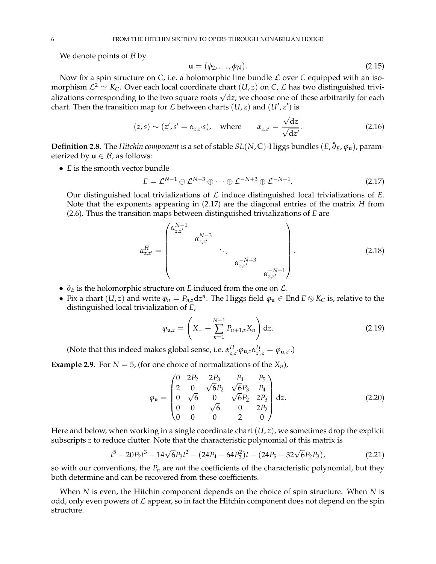We denote points of  $\beta$  by

$$
\mathbf{u} = (\phi_2, \dots, \phi_N). \tag{2.15}
$$

Now fix a spin structure on  $C$ , i.e. a holomorphic line bundle  $\mathcal L$  over  $C$  equipped with an isomorphism  $\mathcal{L}^2 \simeq K_C$ . Over each local coordinate chart  $(U,z)$  on  $C$ ,  $\mathcal L$  has two distinguished trivimorphism  $L^2 \cong N_C$ . Over each local coordinate chart  $(u,z)$  on  $c, L$  has two distinguished trivi-<br>alizations corresponding to the two square roots  $\sqrt{dz}$ ; we choose one of these arbitrarily for each chart. Then the transition map for  $\mathcal L$  between charts  $(U, z)$  and  $(U', z')$  is

$$
(z,s) \sim (z', s' = \alpha_{z,z'}s),
$$
 where  $\alpha_{z,z'} = \frac{\sqrt{dz}}{\sqrt{dz'}}.$  (2.16)

**Definition 2.8.** The *Hitchin component* is a set of stable  $SL(N, \mathbb{C})$ -Higgs bundles  $(E, \bar{\partial}_E, \varphi_u)$ , parameterized by  $\mathbf{u} \in \mathcal{B}$ , as follows:

• *E* is the smooth vector bundle

<span id="page-6-0"></span>
$$
E = \mathcal{L}^{N-1} \oplus \mathcal{L}^{N-3} \oplus \cdots \oplus \mathcal{L}^{-N+3} \oplus \mathcal{L}^{-N+1}.
$$
 (2.17)

Our distinguished local trivializations of  $\mathcal L$  induce distinguished local trivializations of  $E$ . Note that the exponents appearing in [\(2.17\)](#page-6-0) are the diagonal entries of the matrix *H* from [\(2.6\)](#page-5-4). Thus the transition maps between distinguished trivializations of *E* are

<span id="page-6-2"></span>
$$
\alpha_{z,z'}^H = \begin{pmatrix} \alpha_{z,z'}^{N-1} & & & \\ & \alpha_{z,z'}^{N-3} & & \\ & & \ddots & \\ & & & \alpha_{z,z'}^{-N+3} \\ & & & & \alpha_{z,z'}^{-N+1} \end{pmatrix} .
$$
 (2.18)

- $\bar{\partial}_E$  is the holomorphic structure on *E* induced from the one on  $\mathcal{L}$ .
- Fix a chart  $(U, z)$  and write  $\phi_n = P_{n,z} dz^n$ . The Higgs field  $\phi_u \in End E \otimes K_C$  is, relative to the distinguished local trivialization of *E*,

<span id="page-6-1"></span>
$$
\varphi_{\mathbf{u},z} = \left(X_- + \sum_{n=1}^{N-1} P_{n+1,z} X_n\right) dz.
$$
 (2.19)

(Note that this indeed makes global sense, i.e.  $\alpha_{z,z'}^H \varphi_{\mathbf{u},z} \alpha_{z',z}^H = \varphi_{\mathbf{u},z'}$ .)

**Example 2.9.** For  $N = 5$ , (for one choice of normalizations of the  $X_n$ ),

$$
\varphi_{\mathbf{u}} = \begin{pmatrix} 0 & 2P_2 & 2P_3 & P_4 & P_5 \\ 2 & 0 & \sqrt{6}P_2 & \sqrt{6}P_3 & P_4 \\ 0 & \sqrt{6} & 0 & \sqrt{6}P_2 & 2P_3 \\ 0 & 0 & \sqrt{6} & 0 & 2P_2 \\ 0 & 0 & 0 & 2 & 0 \end{pmatrix} dz.
$$
 (2.20)

Here and below, when working in a single coordinate chart (*U*, *z*), we sometimes drop the explicit subscripts *z* to reduce clutter. Note that the characteristic polynomial of this matrix is

$$
t^5 - 20P_2t^3 - 14\sqrt{6}P_3t^2 - (24P_4 - 64P_2^2)t - (24P_5 - 32\sqrt{6}P_2P_3),
$$
\n(2.21)

so with our conventions, the *P<sup>n</sup>* are *not* the coefficients of the characteristic polynomial, but they both determine and can be recovered from these coefficients.

When *N* is even, the Hitchin component depends on the choice of spin structure. When *N* is odd, only even powers of  $\mathcal L$  appear, so in fact the Hitchin component does not depend on the spin structure.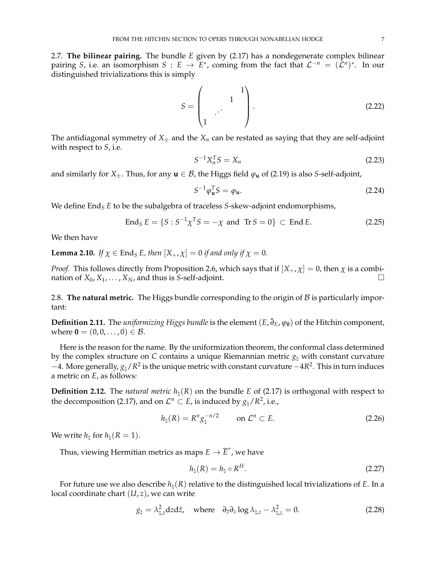<span id="page-7-0"></span>2.7. **The bilinear pairing.** The bundle *E* given by [\(2.17\)](#page-6-0) has a nondegenerate complex bilinear pairing *S*, i.e. an isomorphism  $S : E \to E^*$ , coming from the fact that  $\mathcal{L}^{-n} = (\mathcal{L}^n)^*$ . In our distinguished trivializations this is simply

<span id="page-7-2"></span>
$$
S = \begin{pmatrix} 1 & 1 \\ 1 & \cdots & 1 \end{pmatrix}.
$$
 (2.22)

The antidiagonal symmetry of  $X_{\pm}$  and the  $X_n$  can be restated as saying that they are self-adjoint with respect to *S*, i.e.

$$
S^{-1}X_n^T S = X_n \t\t(2.23)
$$

and similarly for *X*<sup> $\pm$ </sup>. Thus, for any **u**  $\in$  *B*, the Higgs field  $\varphi$ **u** of [\(2.19\)](#page-6-1) is also *S*-self-adjoint,

<span id="page-7-4"></span>
$$
S^{-1}\varphi_{\mathbf{u}}^T S = \varphi_{\mathbf{u}}.\tag{2.24}
$$

We define End<sub>S</sub> *E* to be the subalgebra of traceless *S*-skew-adjoint endomorphisms,

$$
End_{S} E = \{ S : S^{-1} \chi^{T} S = -\chi \text{ and Tr} S = 0 \} \subset \text{End} E. \tag{2.25}
$$

We then have

<span id="page-7-5"></span>**Lemma 2.10.** *If*  $\chi \in$  End<sub>*S*</sub> *E*, *then*  $[X_+, \chi] = 0$  *if and only if*  $\chi = 0$ *.* 

*Proof.* This follows directly from Proposition [2.6,](#page-5-5) which says that if  $[X_+, \chi] = 0$ , then  $\chi$  is a combination of  $X_0, X_1, \ldots, X_N$ , and thus is *S*-self-adjoint.

<span id="page-7-1"></span>2.8. **The natural metric.** The Higgs bundle corresponding to the origin of  $\beta$  is particularly important:

**Definition 2.11.** The *uniformizing Higgs bundle* is the element (*E*, ¯*∂E*, *ϕ***0**) of the Hitchin component, where **0** =  $(0, 0, \ldots, 0) \in \mathcal{B}$ .

Here is the reason for the name. By the uniformization theorem, the conformal class determined by the complex structure on *C* contains a unique Riemannian metric  $g_\text{t}$  with constant curvature −4. More generally,  $g_\natural/R^2$  is the unique metric with constant curvature −4 $R^2$ . This in turn induces a metric on *E*, as follows:

**Definition 2.12.** The *natural metric*  $h_\text{b}(R)$  on the bundle *E* of [\(2.17\)](#page-6-0) is orthogonal with respect to the decomposition [\(2.17\)](#page-6-0), and on  $\mathcal{L}^n \subset E$ , is induced by  $g_\natural/R^2$ , i.e.,

$$
h_{\natural}(R) = R^n g_{\natural}^{-n/2} \qquad \text{on } \mathcal{L}^n \subset E. \tag{2.26}
$$

We write  $h_{\natural}$  for  $h_{\natural}(R = 1)$ .

Thus, viewing Hermitian metrics as maps  $E \to \overline{E}^*$ , we have

<span id="page-7-6"></span>
$$
h_{\natural}(R) = h_{\natural} \circ R^{H}.
$$
\n(2.27)

For future use we also describe  $h_{\natural}(R)$  relative to the distinguished local trivializations of *E*. In a local coordinate chart (*U*, *z*), we can write

<span id="page-7-3"></span>
$$
g_{\natural} = \lambda_{\natural,z}^2 dz dz, \quad \text{where} \quad \partial_{\bar{z}} \partial_z \log \lambda_{\natural,z} - \lambda_{\natural,z}^2 = 0. \tag{2.28}
$$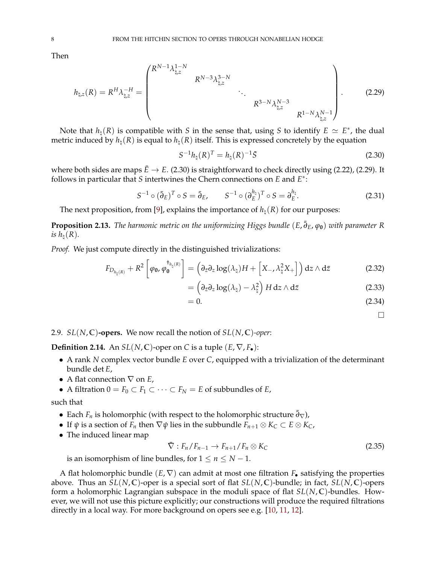Then

<span id="page-8-2"></span>
$$
h_{\natural,z}(R) = R^H \lambda_{\natural,z}^{-H} = \begin{pmatrix} R^{N-1} \lambda_{\natural,z}^{1-N} & & & \\ & R^{N-3} \lambda_{\natural,z}^{3-N} & & \\ & & \ddots & \\ & & & R^{3-N} \lambda_{\natural,z}^{N-3} \\ & & & & R^{1-N} \lambda_{\natural,z}^{N-1} \end{pmatrix} . \tag{2.29}
$$

Note that  $h_\natural(R)$  is compatible with *S* in the sense that, using *S* to identify  $E \simeq E^*$ , the dual metric induced by  $h_\natural(R)$  is equal to  $h_\natural(R)$  itself. This is expressed concretely by the equation

<span id="page-8-1"></span>
$$
S^{-1}h_{\natural}(R)^{T} = h_{\natural}(R)^{-1}\bar{S}
$$
\n(2.30)

where both sides are maps  $\bar{E} \to E$ . [\(2.30\)](#page-8-1) is straightforward to check directly using [\(2.22\)](#page-7-2), [\(2.29\)](#page-8-2). It follows in particular that *S* intertwines the Chern connections on *E* and *E* ∗ :

<span id="page-8-4"></span>
$$
S^{-1} \circ (\bar{\partial}_E)^T \circ S = \bar{\partial}_E, \qquad S^{-1} \circ (\partial_E^{h_{\natural}})^T \circ S = \partial_E^{h_{\natural}}.
$$
 (2.31)

The next proposition, from [\[9\]](#page-23-9), explains the importance of  $h_{\mu}(R)$  for our purposes:

<span id="page-8-5"></span>**Proposition 2.13.** *The harmonic metric on the uniformizing Higgs bundle* (*E*, ¯*∂E*, *ϕ***0**) *with parameter R is*  $h_{\text{h}}(R)$ .

*Proof.* We just compute directly in the distinguished trivializations:

$$
F_{D_{h_{\natural}(R)}} + R^2 \left[ \varphi_0, \varphi_0^{\dagger_{h_{\natural}(R)}} \right] = \left( \partial_{\bar{z}} \partial_z \log(\lambda_{\natural}) H + \left[ X_{-}, \lambda_{\natural}^2 X_{+} \right] \right) dz \wedge d\bar{z}
$$
 (2.32)

$$
= \left(\partial_{\bar{z}}\partial_z \log(\lambda_{\natural}) - \lambda_{\natural}^2\right) H \, dz \wedge d\bar{z}
$$
 (2.33)

$$
=0.\t(2.34)
$$

 $\Box$ 

<span id="page-8-0"></span>2.9. *SL*(*N*, **C**)**-opers.** We now recall the notion of *SL*(*N*, **C**)*-oper*:

<span id="page-8-3"></span>**Definition 2.14.** An  $SL(N, \mathbb{C})$ -oper on C is a tuple  $(E, \nabla, F_{\bullet})$ :

- A rank *N* complex vector bundle *E* over *C*, equipped with a trivialization of the determinant bundle det *E*,
- A flat connection ∇ on *E*,
- A filtration  $0 = F_0 \subset F_1 \subset \cdots \subset F_N = E$  of subbundles of *E*,

such that

- Each  $F_n$  is holomorphic (with respect to the holomorphic structure  $\bar{\partial}_{\nabla}$ ),
- $\bullet$  If *ψ* is a section of *F<sub>n</sub>* then  $\nabla$ *ψ* lies in the subbundle *F<sub>n+1</sub>* ⊗ *K<sub>C</sub>* ⊂ *E* ⊗ *K<sub>C</sub>*,
- The induced linear map

$$
\bar{\nabla}: F_n/F_{n-1} \to F_{n+1}/F_n \otimes K_C \tag{2.35}
$$

is an isomorphism of line bundles, for  $1 \le n \le N - 1$ .

A flat holomorphic bundle (*E*, ∇) can admit at most one filtration *F*• satisfying the properties above. Thus an *SL*(*N*, **C**)-oper is a special sort of flat *SL*(*N*, **C**)-bundle; in fact, *SL*(*N*, **C**)-opers form a holomorphic Lagrangian subspace in the moduli space of flat *SL*(*N*, **C**)-bundles. However, we will not use this picture explicitly; our constructions will produce the required filtrations directly in a local way. For more background on opers see e.g. [\[10,](#page-23-10) [11,](#page-23-11) [12\]](#page-23-12).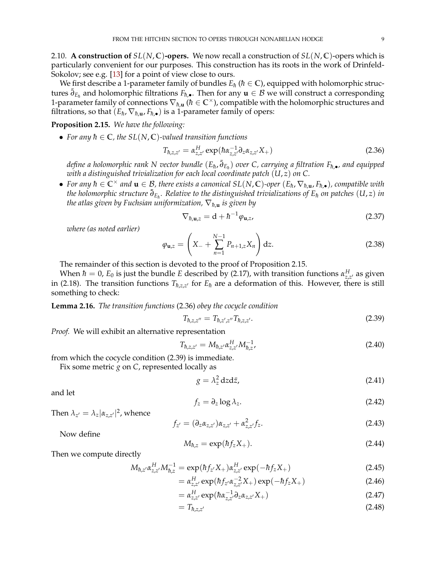<span id="page-9-0"></span>2.10. **A construction of**  $SL(N, \mathbb{C})$ -opers. We now recall a construction of  $SL(N, \mathbb{C})$ -opers which is particularly convenient for our purposes. This construction has its roots in the work of Drinfeld-Sokolov; see e.g. [\[13\]](#page-23-13) for a point of view close to ours.

We first describe a 1-parameter family of bundles  $E_h$  ( $\hbar \in \mathbb{C}$ ), equipped with holomorphic structures  $\bar{\partial}_{E_h}$  and holomorphic filtrations  $F_{h,\bullet}$ . Then for any  $\mathbf{u} \in \mathcal{B}$  we will construct a corresponding 1-parameter family of connections  $\nabla_{\hbar,\mathbf{u}}$  ( $\hbar \in \mathbb{C}^\times$ ), compatible with the holomorphic structures and filtrations, so that  $(E_h, \nabla_{h,\mathbf{u}}, F_{h,\bullet})$  is a 1-parameter family of opers:

## <span id="page-9-1"></span>**Proposition 2.15.** *We have the following:*

• For any  $h \in \mathbb{C}$ , the  $SL(N, \mathbb{C})$ -valued transition functions

<span id="page-9-2"></span>
$$
T_{\hbar,z,z'} = \alpha_{z,z'}^H \exp(\hbar \alpha_{z,z'}^{-1} \partial_z \alpha_{z,z'} X_+) \tag{2.36}
$$

*define a holomorphic rank N vector bundle* (E<sub>ħ</sub>, $\bar{\partial}_{E_h}$ ) *over C, carrying a filtration F<sub>ħ,•</sub>, and equipped with a distinguished trivialization for each local coordinate patch* (*U*, *z*) *on C.*

• For any  $\hbar \in \mathbb{C}^\times$  and  $\mathbf{u} \in \mathcal{B}$ , there exists a canonical  $SL(N,\mathbb{C})$ -oper  $(E_{\hbar}, \nabla_{\hbar, \mathbf{u}}, F_{\hbar, \bullet})$ , compatible with *the holomorphic structure* ¯*∂Eh*¯ *. Relative to the distinguished trivializations of Eh*¯ *on patches* (*U*, *z*) *in the atlas given by Fuchsian uniformization,*  $\nabla_{\hbar, \mathbf{u}}$  *is given by* 

<span id="page-9-5"></span>
$$
\nabla_{\hbar, \mathbf{u}, z} = \mathbf{d} + \hbar^{-1} \varphi_{\mathbf{u}, z}, \tag{2.37}
$$

*where (as noted earlier)*

$$
\varphi_{\mathbf{u},z} = \left(X_- + \sum_{n=1}^{N-1} P_{n+1,z} X_n\right) dz.
$$
 (2.38)

The remainder of this section is devoted to the proof of Proposition [2.15.](#page-9-1)

When  $\hbar = 0$ ,  $E_0$  is just the bundle *E* described by [\(2.17\)](#page-6-0), with transition functions  $\alpha_{z,z'}^H$  as given in [\(2.18\)](#page-6-2). The transition functions  $T_{\hbar,z,z'}$  for  $E_{\hbar}$  are a deformation of this. However, there is still something to check:

**Lemma 2.16.** *The transition functions* [\(2.36\)](#page-9-2) *obey the cocycle condition*

<span id="page-9-3"></span>
$$
T_{\hbar, z, z''} = T_{\hbar, z', z''} T_{\hbar, z, z'}.
$$
\n(2.39)

*Proof.* We will exhibit an alternative representation

<span id="page-9-6"></span>
$$
T_{\hbar,z,z'} = M_{\hbar,z'} \alpha_{z,z'}^H M_{\hbar,z'}^{-1}, \tag{2.40}
$$

from which the cocycle condition [\(2.39\)](#page-9-3) is immediate.

Fix some metric *g* on *C*, represented locally as

$$
g = \lambda_z^2 \, dz \, dz,\tag{2.41}
$$

and let

$$
f_z = \partial_z \log \lambda_z. \tag{2.42}
$$

Then  $\lambda_{z'} = \lambda_z |\alpha_{z,z'}|^2$ , whence

<span id="page-9-4"></span>
$$
f_{z'} = (\partial_z \alpha_{z,z'}) \alpha_{z,z'} + \alpha_{z,z'}^2 f_z.
$$
 (2.43)

Now define

$$
M_{\hbar,z} = \exp(\hbar f_z X_+). \tag{2.44}
$$

Then we compute directly

$$
M_{\hbar, z'} \alpha_{z, z'}^H M_{\hbar, z}^{-1} = \exp(\hbar f_{z'} X_+) \alpha_{z, z'}^H \exp(-\hbar f_z X_+) \tag{2.45}
$$

$$
= \alpha_{z,z'}^H \exp(\hbar f_{z'} \alpha_{z,z'}^{-2} X_+) \exp(-\hbar f_z X_+) \tag{2.46}
$$

$$
= \alpha_{z,z'}^H \exp(\hbar \alpha_{z,z'}^{-1} \partial_z \alpha_{z,z'} X_+) \tag{2.47}
$$

$$
=T_{\hbar,z,z'}\tag{2.48}
$$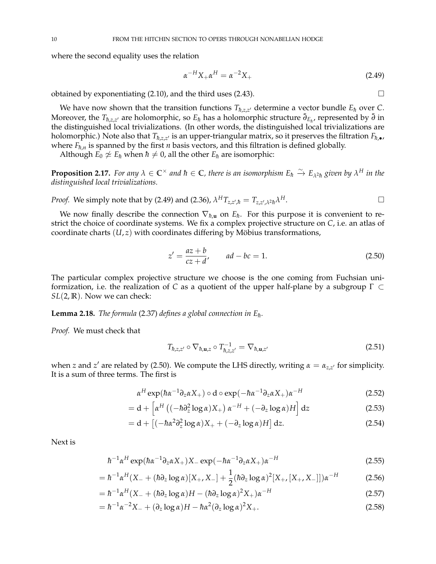where the second equality uses the relation

<span id="page-10-0"></span>
$$
\alpha^{-H} X_+ \alpha^H = \alpha^{-2} X_+ \tag{2.49}
$$

obtained by exponentiating  $(2.10)$ , and the third uses  $(2.43)$ .

We have now shown that the transition functions  $T_{\hbar,z,z'}$  determine a vector bundle  $E_{\hbar}$  over  $C$ . Moreover, the  $T_{\hbar,z,z'}$  are holomorphic, so  $E_{\hbar}$  has a holomorphic structure  $\bar{\partial}_{E_{\hbar}}$ , represented by  $\bar{\partial}$  in the distinguished local trivializations. (In other words, the distinguished local trivializations are holomorphic.) Note also that  $T_{\hbar,z,z'}$  is an upper-triangular matrix, so it preserves the filtration  $F_{\hbar,\bullet}$ , where  $F_{\hbar,n}$  is spanned by the first *n* basis vectors, and this filtration is defined globally.

Although  $E_0 \not\simeq E_h$  when  $\hbar \neq 0$ , all the other  $E_h$  are isomorphic:

**Proposition 2.17.** For any  $\lambda \in \mathbb{C}^\times$  and  $\hbar \in \mathbb{C}$ , there is an isomorphism  $E_\hbar \stackrel{\sim}{\to} E_{\lambda^2 \hbar}$  given by  $\lambda^H$  in the *distinguished local trivializations.*

*Proof.* We simply note that by (2.49) and (2.36), 
$$
\lambda^H T_{z,z',\hbar} = T_{z,z',\lambda^2 \hbar} \lambda^H
$$
.

We now finally describe the connection  $\nabla_{\hbar,\mathbf{u}}$  on  $E_{\hbar}$ . For this purpose it is convenient to restrict the choice of coordinate systems. We fix a complex projective structure on *C*, i.e. an atlas of coordinate charts (*U*, *z*) with coordinates differing by Möbius transformations,

<span id="page-10-1"></span>
$$
z' = \frac{az+b}{cz+d'}, \qquad ad - bc = 1.
$$
 (2.50)

The particular complex projective structure we choose is the one coming from Fuchsian uniformization, i.e. the realization of *C* as a quotient of the upper half-plane by a subgroup Γ ⊂ *SL*(2, **R**). Now we can check:

**Lemma 2.18.** *The formula* [\(2.37\)](#page-9-5) *defines a global connection in*  $E_h$ *.* 

*Proof.* We must check that

$$
T_{\hbar, z, z'} \circ \nabla_{\hbar, \mathbf{u}, z} \circ T_{\hbar, z, z'}^{-1} = \nabla_{\hbar, \mathbf{u}, z'} \tag{2.51}
$$

when *z* and *z'* are related by [\(2.50\)](#page-10-1). We compute the LHS directly, writing  $\alpha = \alpha_{z,z'}$  for simplicity. It is a sum of three terms. The first is

$$
\alpha^H \exp(\hbar \alpha^{-1} \partial_z \alpha X_+) \circ \mathrm{d} \circ \exp(-\hbar \alpha^{-1} \partial_z \alpha X_+) \alpha^{-H} \tag{2.52}
$$

$$
= d + \left[ \alpha^H \left( (-\hbar \partial_z^2 \log \alpha) X_+ \right) \alpha^{-H} + (-\partial_z \log \alpha) H \right] dz \tag{2.53}
$$

$$
= d + \left[ (-\hbar \alpha^2 \partial_z^2 \log \alpha) X_+ + (-\partial_z \log \alpha) H \right] dz.
$$
 (2.54)

Next is

$$
\hbar^{-1}\alpha^{H}\exp(\hbar\alpha^{-1}\partial_{z}\alpha X_{+})X_{-}\exp(-\hbar\alpha^{-1}\partial_{z}\alpha X_{+})\alpha^{-H}
$$
\n(2.55)

$$
= \hbar^{-1} \alpha^{H} (X_{-} + (\hbar \partial_{z} \log \alpha) [X_{+}, X_{-}] + \frac{1}{2} (\hbar \partial_{z} \log \alpha)^{2} [X_{+}, [X_{+}, X_{-}]] ) \alpha^{-H}
$$
(2.56)

$$
= \hbar^{-1} \alpha^H (X_- + (\hbar \partial_z \log \alpha) H - (\hbar \partial_z \log \alpha)^2 X_+) \alpha^{-H}
$$
\n(2.57)

$$
= \hbar^{-1} \alpha^{-2} X_{-} + (\partial_z \log \alpha) H - \hbar \alpha^2 (\partial_z \log \alpha)^2 X_{+}.
$$
\n(2.58)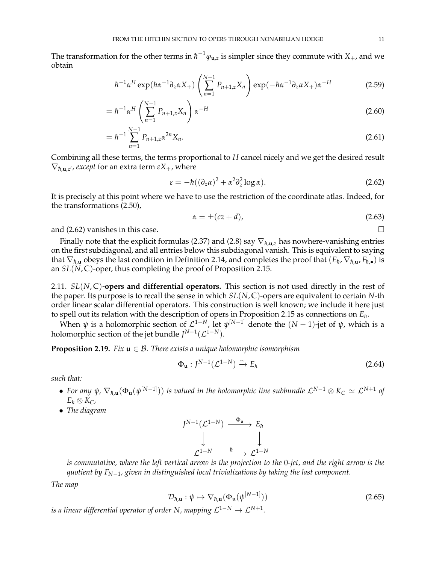The transformation for the other terms in  $\hbar^{-1}\varphi_{\mathbf{u},z}$  is simpler since they commute with  $X_+$ , and we obtain

$$
\hbar^{-1}\alpha^{H}\exp(\hbar\alpha^{-1}\partial_{z}\alpha X_{+})\left(\sum_{n=1}^{N-1}P_{n+1,z}X_{n}\right)\exp(-\hbar\alpha^{-1}\partial_{z}\alpha X_{+})\alpha^{-H}
$$
\n(2.59)

$$
= \hbar^{-1} \alpha^H \left( \sum_{n=1}^{N-1} P_{n+1,z} X_n \right) \alpha^{-H}
$$
 (2.60)

$$
= \hbar^{-1} \sum_{n=1}^{N-1} P_{n+1,z} \alpha^{2n} X_n.
$$
 (2.61)

Combining all these terms, the terms proportional to *H* cancel nicely and we get the desired result  $\nabla_{\hbar, \mathbf{u}, z'}$ , *except* for an extra term  $\varepsilon X_+$ , where

<span id="page-11-1"></span>
$$
\varepsilon = -\hbar ((\partial_z \alpha)^2 + \alpha^2 \partial_z^2 \log \alpha). \tag{2.62}
$$

It is precisely at this point where we have to use the restriction of the coordinate atlas. Indeed, for the transformations [\(2.50\)](#page-10-1),

$$
\alpha = \pm (cz + d),\tag{2.63}
$$

and  $(2.62)$  vanishes in this case.

Finally note that the explicit formulas [\(2.37\)](#page-9-5) and [\(2.8\)](#page-5-7) say  $\nabla_{h,\mathbf{u},z}$  has nowhere-vanishing entries on the first subdiagonal, and all entries below this subdiagonal vanish. This is equivalent to saying that  $\nabla_{\hbar, \mathbf{u}}$  obeys the last condition in Definition [2.14,](#page-8-3) and completes the proof that  $(E_\hbar, \nabla_{\hbar, \mathbf{u}}, F_{\hbar, \bullet})$  is an *SL*(*N*, **C**)-oper, thus completing the proof of Proposition [2.15.](#page-9-1)

<span id="page-11-0"></span>2.11.  $SL(N, \mathbb{C})$ -opers and differential operators. This section is not used directly in the rest of the paper. Its purpose is to recall the sense in which *SL*(*N*, **C**)-opers are equivalent to certain *N*-th order linear scalar differential operators. This construction is well known; we include it here just to spell out its relation with the description of opers in Proposition [2.15](#page-9-1) as connections on  $E_{\hbar}$ .

When  $\psi$  is a holomorphic section of  $\mathcal{L}^{1-N}$ , let  $\psi^{[N-1]}$  denote the  $(N-1)$ -jet of  $\psi$ , which is a holomorphic section of the jet bundle  $J^{N-1}(\mathcal{L}^{1-N}).$ 

## **Proposition 2.19.** *Fix*  $\mathbf{u} \in \mathcal{B}$ *. There exists a unique holomorphic isomorphism*

$$
\Phi_{\mathbf{u}}: J^{N-1}(\mathcal{L}^{1-N}) \xrightarrow{\sim} E_{\hbar}
$$
 (2.64)

*such that:*

- For any  $\psi$ ,  $\nabla_{\hbar, \mathbf{u}}(\Phi_\mathbf{u}(\psi^{[N-1]}))$  is valued in the holomorphic line subbundle  $\mathcal{L}^{N-1}\otimes K_C\simeq \mathcal{L}^{N+1}$  of  $E_h \otimes K_C$ *,*
- *The diagram*

$$
J^{N-1}(\mathcal{L}^{1-N}) \xrightarrow{\Phi_{\mathbf{u}}} E_{\hbar}
$$
  

$$
\downarrow \qquad \qquad \downarrow
$$
  

$$
\mathcal{L}^{1-N} \xrightarrow{\hbar} \mathcal{L}^{1-N}
$$

*is commutative, where the left vertical arrow is the projection to the* 0*-jet, and the right arrow is the quotient by FN*−1*, given in distinguished local trivializations by taking the last component.*

*The map*

$$
\mathcal{D}_{\hbar,\mathbf{u}} : \psi \mapsto \nabla_{\hbar,\mathbf{u}} (\Phi_{\mathbf{u}}(\psi^{[N-1]}))
$$
\n(2.65)

is a linear differential operator of order N, mapping  $\mathcal{L}^{1-N}\to \mathcal{L}^{N+1}.$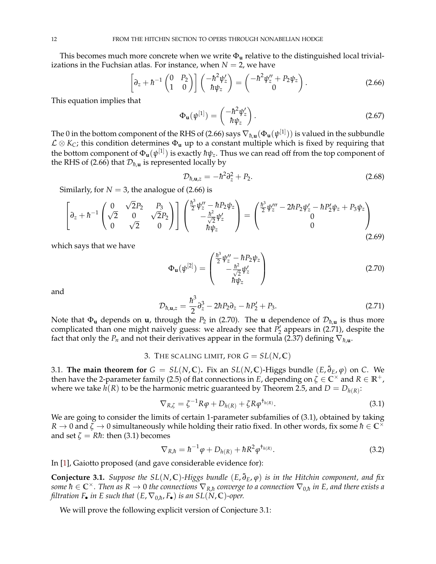This becomes much more concrete when we write  $\Phi_{\mathbf{u}}$  relative to the distinguished local trivializations in the Fuchsian atlas. For instance, when  $N = 2$ , we have

<span id="page-12-3"></span>
$$
\left[\partial_z + \hbar^{-1} \begin{pmatrix} 0 & P_2 \\ 1 & 0 \end{pmatrix} \right] \begin{pmatrix} -\hbar^2 \psi_z' \\ \hbar \psi_z \end{pmatrix} = \begin{pmatrix} -\hbar^2 \psi_z'' + P_2 \psi_z \\ 0 \end{pmatrix}.
$$
 (2.66)

This equation implies that

$$
\Phi_{\mathbf{u}}(\psi^{[1]}) = \begin{pmatrix} -\hbar^2 \psi_z' \\ \hbar \psi_z \end{pmatrix} . \tag{2.67}
$$

The 0 in the bottom component of the RHS of [\(2.66\)](#page-12-3) says  $\nabla_{\hbar, {\bf u}}(\Phi_{\bf u}(\psi^{[1]}))$  is valued in the subbundle L ⊗ *KC*; this condition determines Φ**<sup>u</sup>** up to a constant multiple which is fixed by requiring that the bottom component of  $\Phi_{\bf u}(\psi^{[1]})$  is exactly  $\hbar\psi_z.$  Thus we can read off from the top component of the RHS of [\(2.66\)](#page-12-3) that  $\mathcal{D}_{\hbar, \mathbf{u}}$  is represented locally by

$$
\mathcal{D}_{\hbar, \mathbf{u}, z} = -\hbar^2 \partial_z^2 + P_2. \tag{2.68}
$$

Similarly, for  $N = 3$ , the analogue of [\(2.66\)](#page-12-3) is

$$
\begin{bmatrix}\n\partial_z + \hbar^{-1} \begin{pmatrix}\n0 & \sqrt{2}P_2 & P_3 \\
\sqrt{2} & 0 & \sqrt{2}P_2 \\
0 & \sqrt{2} & 0\n\end{pmatrix}\n\end{bmatrix}\n\begin{pmatrix}\n\frac{\hbar^3}{2}\psi_2'' - \hbar P_2\psi_2 \\
-\frac{\hbar^2}{\sqrt{2}}\psi_2' \\
\hbar\psi_2\n\end{pmatrix} = \begin{pmatrix}\n\frac{\hbar^3}{2}\psi_2''' - 2\hbar P_2\psi_2' - \hbar P_2'\psi_2 + P_3\psi_2 \\
0 \\
0\n\end{pmatrix}
$$
\n(2.69)

which says that we have

<span id="page-12-4"></span>
$$
\Phi_{\mathbf{u}}(\psi^{[2]}) = \begin{pmatrix} \frac{\hbar^3}{2} \psi_z'' - \hbar P_2 \psi_z \\ -\frac{\hbar^2}{\sqrt{2}} \psi_z' \\ \hbar \psi_z \end{pmatrix}
$$
(2.70)

and

<span id="page-12-5"></span>
$$
\mathcal{D}_{\hbar, \mathbf{u}, z} = \frac{\hbar^3}{2} \partial_z^3 - 2\hbar P_2 \partial_z - \hbar P_2' + P_3. \tag{2.71}
$$

Note that  $\Phi_u$  depends on **u**, through the  $P_2$  in [\(2.70\)](#page-12-4). The **u** dependence of  $\mathcal{D}_{\hbar,\mathbf{u}}$  is thus more complicated than one might naively guess: we already see that  $\hat{P}_2$ <sup>'</sup> appears in [\(2.71\)](#page-12-5), despite the fact that only the  $P_n$  and not their derivatives appear in the formula [\(2.37\)](#page-9-5) defining  $\nabla_{h,\mathbf{u}}$ .

# 3. THE SCALING LIMIT, FOR  $G = SL(N, \mathbb{C})$

<span id="page-12-1"></span><span id="page-12-0"></span>3.1. **The main theorem for**  $G = SL(N, \mathbb{C})$ . Fix an  $SL(N, \mathbb{C})$ -Higgs bundle  $(E, \bar{\partial}_E, \varphi)$  on  $C$ . We then have the 2-parameter family [\(2.5\)](#page-4-6) of flat connections in *E*, depending on  $\zeta \in \mathbb{C}^\times$  and  $R \in \mathbb{R}^+$ , where we take  $h(R)$  to be the harmonic metric guaranteed by Theorem [2.5,](#page-4-3) and  $D = D_{h(R)}$ :

<span id="page-12-6"></span>
$$
\nabla_{R,\zeta} = \zeta^{-1} R \varphi + D_{h(R)} + \zeta R \varphi^{\dagger_{h(R)}}.
$$
\n(3.1)

We are going to consider the limits of certain 1-parameter subfamilies of [\(3.1\)](#page-12-6), obtained by taking  $R \to 0$  and  $\zeta \to 0$  simultaneously while holding their ratio fixed. In other words, fix some  $\hbar \in \mathbb{C}^{\times}$ and set  $\zeta = R\hbar$ : then [\(3.1\)](#page-12-6) becomes

$$
\nabla_{R,\hbar} = \hbar^{-1}\varphi + D_{h(R)} + \hbar R^2 \varphi^{\dagger_{h(R)}}.
$$
\n(3.2)

In [\[1\]](#page-23-1), Gaiotto proposed (and gave considerable evidence for):

<span id="page-12-2"></span>**Conjecture 3.1.** *Suppose the SL*(*N*, **C**)*-Higgs bundle* (*E*, ¯*∂E*, *ϕ*) *is in the Hitchin component, and fix*  $s$ ome  $\hbar\in\mathbb{C}^\times$  . Then as  $R\to 0$  the connections  $\nabla_{R,\hbar}$  converge to a connection  $\nabla_{0,\hbar}$  in E, and there exists a *filtration*  $F_{\bullet}$  *in*  $E$  *such that*  $(E, \nabla_{0,h}, F_{\bullet})$  *is an*  $SL(N, \mathbb{C})$ -oper.

We will prove the following explicit version of Conjecture [3.1:](#page-12-2)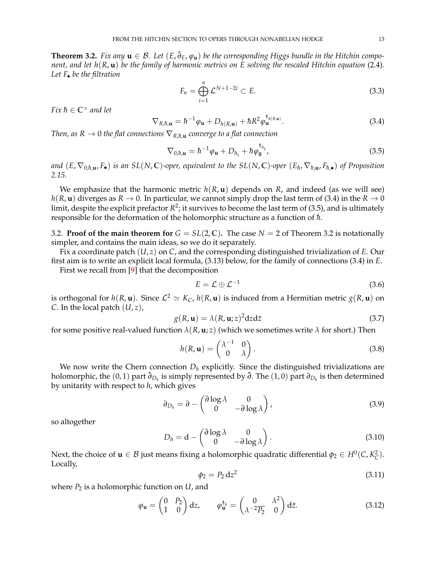<span id="page-13-1"></span>**Theorem 3.2.** *Fix any*  $\bf{u}$  ∈  $\beta$ . Let  $(E, \bar{\partial}_E, \varphi_{\bf{u}})$  be the corresponding Higgs bundle in the Hitchin compo*nent, and let h*(*R*, **u**) *be the family of harmonic metrics on E solving the rescaled Hitchin equation* [\(2.4\)](#page-4-7)*. Let F*• *be the filtration*

$$
F_n = \bigoplus_{i=1}^n \mathcal{L}^{N+1-2i} \subset E. \tag{3.3}
$$

*Fix*  $\hbar \in \mathbb{C}^\times$  *and let* 

<span id="page-13-2"></span>
$$
\nabla_{R,\hbar,\mathbf{u}} = \hbar^{-1}\varphi_{\mathbf{u}} + D_{h(R,\mathbf{u})} + \hbar R^2 \varphi_{\mathbf{u}}^{\dagger_{h(R,\mathbf{u})}}.
$$
\n(3.4)

*Then, as*  $R \to 0$  *the flat connections*  $\nabla_{R,\hbar,\mathbf{u}}$  *converge to a flat connection* 

<span id="page-13-3"></span>
$$
\nabla_{0,\hbar,\mathbf{u}} = \hbar^{-1}\varphi_{\mathbf{u}} + D_{h_{\natural}} + \hbar\varphi_{\mathbf{0}}^{\dagger_{h_{\natural}}},\tag{3.5}
$$

and  $(E,\nabla_{0,\hbar,\mathbf{u}},F_\bullet)$  is an SL(N,C)-oper, equivalent to the SL(N,C)-oper  $(E_\hbar,\nabla_{\hbar,\mathbf{u}},F_{\hbar,\bullet})$  of Proposition *[2.15.](#page-9-1)*

We emphasize that the harmonic metric  $h(R, \mathbf{u})$  depends on R, and indeed (as we will see) *h*(*R*, **u**) diverges as *R*  $\rightarrow$  0. In particular, we cannot simply drop the last term of [\(3.4\)](#page-13-2) in the *R*  $\rightarrow$  0 limit, despite the explicit prefactor  $R^2$ ; it survives to become the last term of [\(3.5\)](#page-13-3), and is ultimately responsible for the deformation of the holomorphic structure as a function of  $\hbar$ .

<span id="page-13-0"></span>[3.2](#page-13-1). **Proof of the main theorem for**  $G = SL(2, \mathbb{C})$ . The case  $N = 2$  of Theorem 3.2 is notationally simpler, and contains the main ideas, so we do it separately.

Fix a coordinate patch (*U*, *z*) on *C*, and the corresponding distinguished trivialization of *E*. Our first aim is to write an explicit local formula, [\(3.13\)](#page-14-0) below, for the family of connections [\(3.4\)](#page-13-2) in *E*. First we recall from [\[9\]](#page-23-9) that the decomposition

$$
E = \mathcal{L} \oplus \mathcal{L}^{-1} \tag{3.6}
$$

is orthogonal for  $h(R, \mathbf{u})$ . Since  $\mathcal{L}^2 \simeq K_C$ ,  $h(R, \mathbf{u})$  is induced from a Hermitian metric  $g(R, \mathbf{u})$  on *C*. In the local patch  $(U, z)$ ,

<span id="page-13-6"></span>
$$
g(R, \mathbf{u}) = \lambda(R, \mathbf{u}; z)^2 \mathrm{d}z \mathrm{d}\bar{z}
$$
\n(3.7)

for some positive real-valued function  $\lambda(R, \mathbf{u}; z)$  (which we sometimes write  $\lambda$  for short.) Then

$$
h(R, \mathbf{u}) = \begin{pmatrix} \lambda^{-1} & 0 \\ 0 & \lambda \end{pmatrix}.
$$
 (3.8)

We now write the Chern connection  $D_h$  explicitly. Since the distinguished trivializations are holomorphic, the (0, 1) part ¯*∂D<sup>h</sup>* is simply represented by ¯*∂*. The (1, 0) part *<sup>∂</sup>D<sup>h</sup>* is then determined by unitarity with respect to *h*, which gives

$$
\partial_{D_h} = \partial - \begin{pmatrix} \partial \log \lambda & 0 \\ 0 & -\partial \log \lambda \end{pmatrix},\tag{3.9}
$$

so altogether

<span id="page-13-4"></span>
$$
D_h = \mathrm{d} - \begin{pmatrix} \partial \log \lambda & 0 \\ 0 & -\partial \log \lambda \end{pmatrix} . \tag{3.10}
$$

Next, the choice of  $\mathbf{u} \in \mathcal{B}$  just means fixing a holomorphic quadratic differential  $\phi_2 \in H^0(C, K_C^2)$ . Locally,

$$
\phi_2 = P_2 \, \mathrm{d} z^2 \tag{3.11}
$$

where  $P_2$  is a holomorphic function on  $U$ , and

<span id="page-13-5"></span>
$$
\varphi_{\mathbf{u}} = \begin{pmatrix} 0 & P_2 \\ 1 & 0 \end{pmatrix} dz, \qquad \varphi_{\mathbf{u}}^{\dagger_h} = \begin{pmatrix} 0 & \lambda^2 \\ \lambda^{-2} \overline{P_2} & 0 \end{pmatrix} d\bar{z}.
$$
 (3.12)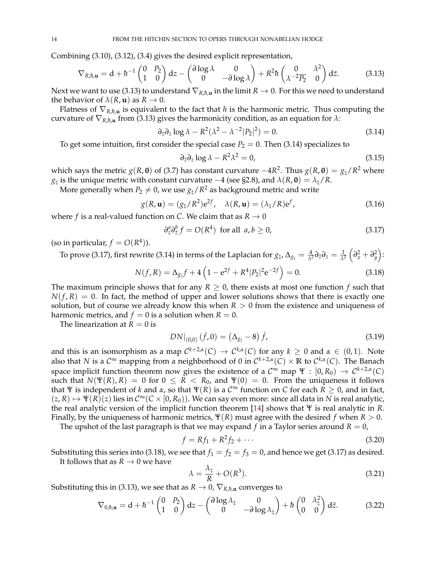Combining [\(3.10\)](#page-13-4), [\(3.12\)](#page-13-5), [\(3.4\)](#page-13-2) gives the desired explicit representation,

<span id="page-14-0"></span>
$$
\nabla_{R,\hbar,\mathbf{u}} = \mathbf{d} + \hbar^{-1} \begin{pmatrix} 0 & P_2 \\ 1 & 0 \end{pmatrix} \mathbf{d}z - \begin{pmatrix} \partial \log \lambda & 0 \\ 0 & -\partial \log \lambda \end{pmatrix} + R^2 \hbar \begin{pmatrix} 0 & \lambda^2 \\ \lambda^{-2} \overline{P_2} & 0 \end{pmatrix} \mathbf{d}\bar{z}.\tag{3.13}
$$

Next we want to use [\(3.13\)](#page-14-0) to understand  $\nabla_{R,h,\mathbf{u}}$  in the limit  $R \to 0$ . For this we need to understand the behavior of  $\lambda(R, \mathbf{u})$  as  $R \to 0$ .

Flatness of  $\nabla_{R,h,\mathbf{u}}$  is equivalent to the fact that *h* is the harmonic metric. Thus computing the curvature of  $\nabla_{R,\hbar,\mathbf{u}}$  from [\(3.13\)](#page-14-0) gives the harmonicity condition, as an equation for  $\lambda$ :

<span id="page-14-1"></span>
$$
\partial_{\bar{z}}\partial_z \log \lambda - R^2(\lambda^2 - \lambda^{-2} |P_2|^2) = 0. \tag{3.14}
$$

To get some intuition, first consider the special case  $P_2 = 0$ . Then [\(3.14\)](#page-14-1) specializes to

$$
\partial_{\bar{z}} \partial_z \log \lambda - R^2 \lambda^2 = 0,\tag{3.15}
$$

which says the metric  $g(R, \mathbf{0})$  of [\(3.7\)](#page-13-6) has constant curvature  $-4R^2$ . Thus  $g(R, \mathbf{0}) = g_\natural/R^2$  where  $g_\natural$  is the unique metric with constant curvature  $-4$  (see [§2.8\)](#page-7-1), and  $\lambda(R,{\bf 0}) = \lambda_\natural/R.$ 

More generally when  $P_2\neq 0$ , we use  $g_\natural/R^2$  as background metric and write

$$
g(R, \mathbf{u}) = (g_{\natural}/R^2)e^{2f}, \quad \lambda(R, \mathbf{u}) = (\lambda_{\natural}/R)e^{f}, \tag{3.16}
$$

where *f* is a real-valued function on *C*. We claim that as  $R \rightarrow 0$ 

<span id="page-14-2"></span>
$$
\partial_z^a \partial_{\bar{z}}^b f = O(R^4) \text{ for all } a, b \ge 0,
$$
\n(3.17)

(so in particular,  $f = O(R<sup>4</sup>)$ ).

To prove [\(3.17\)](#page-14-2), first rewrite [\(3.14\)](#page-14-1) in terms of the Laplacian for  $g_\natural$ ,  $\Delta_{g_\natural} = \frac{4}{\lambda^2} \partial_z \partial_z = \frac{1}{\lambda^2}$  $\left(\partial_x^2 + \partial_y^2\right)$ :

<span id="page-14-3"></span>
$$
N(f, R) = \Delta_{g_{\sharp}} f + 4 \left( 1 - e^{2f} + R^4 |P_2|^2 e^{-2f} \right) = 0.
$$
 (3.18)

The maximum principle shows that for any  $R \geq 0$ , there exists at most one function f such that  $N(f, R) = 0$ . In fact, the method of upper and lower solutions shows that there is exactly one solution, but of course we already know this when  $R > 0$  from the existence and uniqueness of harmonic metrics, and  $f = 0$  is a solution when  $R = 0$ .

The linearization at  $R = 0$  is

$$
DN|_{(0,0)} (f,0) = (\Delta_{g_{\natural}} - 8) f,
$$
\n(3.19)

and this is an isomorphism as a map  $\mathcal{C}^{k+2,\alpha}(\mathcal{C}) \to \mathcal{C}^{k,\alpha}(\mathcal{C})$  for any  $k \geq 0$  and  $\alpha \in (0,1)$ . Note also that *N* is a  $\mathcal{C}^{\infty}$  mapping from a neighborhood of 0 in  $\mathcal{C}^{k+2,\alpha}(\mathcal{C})\times\mathbb{R}$  to  $\mathcal{C}^{k,\alpha}(\mathcal{C})$ . The Banach space implicit function theorem now gives the existence of a  $C^{\infty}$  map  $\Psi : [0, R_0) \to C^{k+2,\alpha}(C)$ such that  $N(\Psi(R), R) = 0$  for  $0 \le R < R_0$ , and  $\Psi(0) = 0$ . From the uniqueness it follows that Ψ is independent of *k* and *α*, so that  $\Psi(R)$  is a  $C^{\infty}$  function on *C* for each  $\overline{R} \geq 0$ , and in fact,  $(z, R) \mapsto \Psi(R)(z)$  lies in  $C^{\infty}(C \times [0, R_0))$ . We can say even more: since all data in N is real analytic, the real analytic version of the implicit function theorem [\[14\]](#page-23-14) shows that Ψ is real analytic in *R*. Finally, by the uniqueness of harmonic metrics,  $\Psi(R)$  must agree with the desired *f* when  $R > 0$ .

The upshot of the last paragraph is that we may expand  $f$  in a Taylor series around  $R = 0$ ,

$$
f = Rf_1 + R^2f_2 + \cdots \tag{3.20}
$$

Substituting this series into [\(3.18\)](#page-14-3), we see that  $f_1 = f_2 = f_3 = 0$ , and hence we get [\(3.17\)](#page-14-2) as desired.

It follows that as  $R \rightarrow 0$  we have

$$
\lambda = \frac{\lambda_{\natural}}{R} + O(R^3). \tag{3.21}
$$

Substituting this in [\(3.13\)](#page-14-0), we see that as  $R \to 0$ ,  $\nabla_{R,\hbar,\mathbf{u}}$  converges to

<span id="page-14-4"></span>
$$
\nabla_{0,\hbar,\mathbf{u}} = \mathbf{d} + \hbar^{-1} \begin{pmatrix} 0 & P_2 \\ 1 & 0 \end{pmatrix} \mathbf{d}z - \begin{pmatrix} \partial \log \lambda_{\natural} & 0 \\ 0 & -\partial \log \lambda_{\natural} \end{pmatrix} + \hbar \begin{pmatrix} 0 & \lambda_{\natural}^2 \\ 0 & 0 \end{pmatrix} \mathbf{d}\bar{z}.\tag{3.22}
$$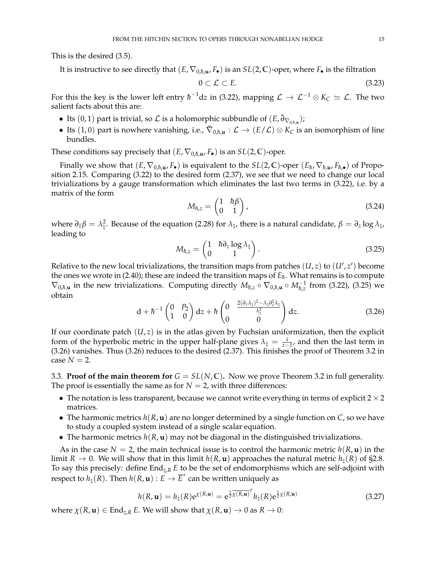This is the desired [\(3.5\)](#page-13-3).

It is instructive to see directly that  $(E, \nabla_{0,h,\mathbf{u}}, F_{\bullet})$  is an  $SL(2,\mathbb{C})$ -oper, where  $F_{\bullet}$  is the filtration

$$
0 \subset \mathcal{L} \subset E. \tag{3.23}
$$

For this the key is the lower left entry  $\hbar^{-1}{\rm d}z$  in [\(3.22\)](#page-14-4), mapping  ${\cal L}\to{\cal L}^{-1}\otimes K_C\simeq {\cal L}.$  The two salient facts about this are:

- Its  $(0, 1)$  part is trivial, so  $\mathcal L$  is a holomorphic subbundle of  $(E, \bar{\partial}_{\nabla_{0,h,\mathbf u}})$ ;
- Its  $(1,0)$  part is nowhere vanishing, i.e.,  $\bar{\nabla}_{0,h,\mathbf{u}} : \mathcal{L} \to (E/\mathcal{L}) \otimes K_C$  is an isomorphism of line bundles.

These conditions say precisely that  $(E, \nabla_{0,h,\mathbf{u}}, F_{\bullet})$  is an  $SL(2,\mathbb{C})$ -oper.

Finally we show that  $(E, \nabla_{0,h,\mathbf{u}}, F_{\bullet})$  is equivalent to the  $SL(2,\mathbb{C})$ -oper  $(E_h, \nabla_{h,\mathbf{u}}, F_{h,\bullet})$  of Proposition [2.15.](#page-9-1) Comparing [\(3.22\)](#page-14-4) to the desired form [\(2.37\)](#page-9-5), we see that we need to change our local trivializations by a gauge transformation which eliminates the last two terms in [\(3.22\)](#page-14-4), i.e. by a matrix of the form

$$
M_{\hbar,z} = \begin{pmatrix} 1 & \hbar \beta \\ 0 & 1 \end{pmatrix}, \tag{3.24}
$$

where  $\partial_{\bar{z}}\beta=\lambda_{\sharp}^2$ . Because of the equation [\(2.28\)](#page-7-3) for  $\lambda_{\sharp}$ , there is a natural candidate,  $\beta=\partial_z\log\lambda_{\sharp}$ , leading to

<span id="page-15-1"></span>
$$
M_{\hbar,z} = \begin{pmatrix} 1 & \hbar \partial_z \log \lambda_{\natural} \\ 0 & 1 \end{pmatrix}.
$$
 (3.25)

Relative to the new local trivializations, the transition maps from patches  $(U, z)$  to  $(U', z')$  become the ones we wrote in [\(2.40\)](#page-9-6); these are indeed the transition maps of  $E_{\hbar}$ . What remains is to compute  $\nabla_{0,\hbar,\mathbf{u}}$  in the new trivializations. Computing directly  $M_{\hbar,z} \circ \nabla_{0,\hbar,\mathbf{u}} \circ M_{\hbar,z}^{-1}$  from [\(3.22\)](#page-14-4), [\(3.25\)](#page-15-1) we obtain

<span id="page-15-2"></span>
$$
d+\hbar^{-1}\begin{pmatrix}0&P_2\\1&0\end{pmatrix}dz+\hbar\begin{pmatrix}0&\frac{2(\partial_z\lambda_{\natural})^2-\lambda_{\natural}\partial_z^2\lambda_{\natural}}{\lambda_{\natural}^2}\\0&0\end{pmatrix}dz.\tag{3.26}
$$

If our coordinate patch  $(U, z)$  is in the atlas given by Fuchsian uniformization, then the explicit form of the hyperbolic metric in the upper half-plane gives  $\lambda_{\parallel} = \frac{i}{z - \bar{z}}$ , and then the last term in [\(3.26\)](#page-15-2) vanishes. Thus [\(3.26\)](#page-15-2) reduces to the desired [\(2.37\)](#page-9-5). This finishes the proof of Theorem [3.2](#page-13-1) in case  $N = 2$ .

<span id="page-15-0"></span>3.3. **Proof of the main theorem for**  $G = SL(N, \mathbb{C})$ . Now we prove Theorem [3.2](#page-13-1) in full generality. The proof is essentially the same as for  $N = 2$ , with three differences:

- The notation is less transparent, because we cannot write everything in terms of explicit  $2 \times 2$ matrices.
- The harmonic metrics  $h(R, \mathbf{u})$  are no longer determined by a single function on *C*, so we have to study a coupled system instead of a single scalar equation.
- The harmonic metrics *h*(*R*, **u**) may not be diagonal in the distinguished trivializations.

As in the case  $N = 2$ , the main technical issue is to control the harmonic metric  $h(R, \mathbf{u})$  in the limit *R*  $\rightarrow$  0. We will show that in this limit *h*(*R*, **u**) approaches the natural metric *h*<sub>1</sub>(*R*) of [§2.8.](#page-7-1) To say this precisely: define End\,*<sup>R</sup> E* to be the set of endomorphisms which are self-adjoint with respect to  $h_1(R)$ . Then  $h(R, \mathbf{u}) : E \to \overline{E}^*$  can be written uniquely as

$$
h(R, \mathbf{u}) = h_{\natural}(R) e^{\chi(R, \mathbf{u})} = e^{\frac{1}{2} \overline{\chi(R, \mathbf{u})}^T} h_{\natural}(R) e^{\frac{1}{2} \chi(R, \mathbf{u})}
$$
(3.27)

where  $\chi(R, \mathbf{u}) \in \text{End}_{\natural, R} E$ . We will show that  $\chi(R, \mathbf{u}) \to 0$  as  $R \to 0$ :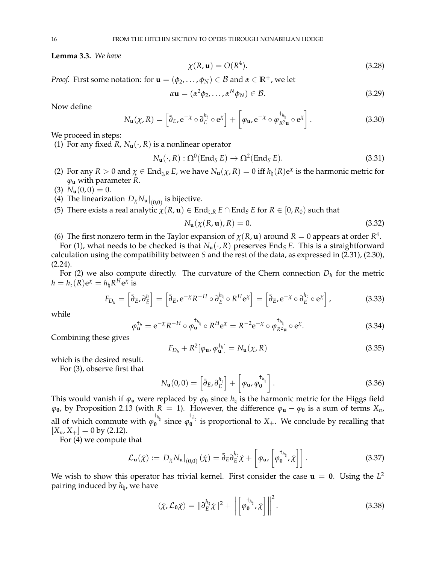<span id="page-16-9"></span>**Lemma 3.3.** *We have*

$$
\chi(R, \mathbf{u}) = O(R^4). \tag{3.28}
$$

*Proof.* First some notation: for  $\mathbf{u} = (\phi_2, \dots, \phi_N) \in \mathcal{B}$  and  $\alpha \in \mathbb{R}^+$ , we let

$$
\alpha \mathbf{u} = (\alpha^2 \phi_2, \dots, \alpha^N \phi_N) \in \mathcal{B}.\tag{3.29}
$$

Now define

<span id="page-16-5"></span>
$$
N_{\mathbf{u}}(\chi, R) = \left[ \bar{\partial}_E, e^{-\chi} \circ \partial_E^{h_{\natural}} \circ e^{\chi} \right] + \left[ \varphi_{\mathbf{u}}, e^{-\chi} \circ \varphi_{R^2 \mathbf{u}}^{\dagger_{h_{\natural}}} \circ e^{\chi} \right]. \tag{3.30}
$$

We proceed in steps:

<span id="page-16-0"></span>(1) For any fixed *R*,  $N_{\mathbf{u}}(\cdot, R)$  is a nonlinear operator

$$
N_{\mathbf{u}}(\cdot, R): \Omega^{0}(\text{End}_{S} E) \to \Omega^{2}(\text{End}_{S} E). \tag{3.31}
$$

- <span id="page-16-1"></span>(2) For any  $R > 0$  and  $\chi \in \text{End}_{\natural,R} E$ , we have  $N_u(\chi, R) = 0$  iff  $h_\natural(R)e^{\chi}$  is the harmonic metric for *ϕ***<sup>u</sup>** with parameter *R*.
- <span id="page-16-2"></span>(3)  $N_{\mathbf{u}}(0,0) = 0.$
- <span id="page-16-3"></span>(4) The linearization  $D_{\chi}N_{\mathbf{u}}|_{(0,0)}$  is bijective.
- <span id="page-16-4"></span>(5) There exists a real analytic  $\chi(R, \mathbf{u}) \in \text{End}_{\natural,R} E \cap \text{End}_S E$  for  $R \in [0, R_0)$  such that

<span id="page-16-7"></span>
$$
N_{\mathbf{u}}(\chi(R, \mathbf{u}), R) = 0. \tag{3.32}
$$

<span id="page-16-6"></span>(6) The first nonzero term in the Taylor expansion of  $\chi(R, \mathbf{u})$  around  $R = 0$  appears at order  $R^4$ .

For [\(1\)](#page-16-0), what needs to be checked is that  $N_{\mathbf{u}}(\cdot, R)$  preserves End<sub>*S*</sub> *E*. This is a straightforward calculation using the compatibility between *S* and the rest of the data, as expressed in [\(2.31\)](#page-8-4), [\(2.30\)](#page-8-1),  $(2.24)$ .

For [\(2\)](#page-16-1) we also compute directly. The curvature of the Chern connection *D<sup>h</sup>* for the metric  $h = h_{\natural}(R) e^{\chi} = h_{\natural} R^{H} e^{\chi}$  is

$$
F_{D_h} = \left[ \bar{\partial}_E, \partial_E^h \right] = \left[ \bar{\partial}_E, e^{-\chi} R^{-H} \circ \partial_E^{h_h} \circ R^H e^{\chi} \right] = \left[ \bar{\partial}_E, e^{-\chi} \circ \partial_E^{h_h} \circ e^{\chi} \right], \tag{3.33}
$$

while

<span id="page-16-8"></span>
$$
\varphi_{\mathbf{u}}^{\dagger_h} = e^{-\chi} R^{-H} \circ \varphi_{\mathbf{u}}^{\dagger_{h_{\natural}}} \circ R^{H} e^{\chi} = R^{-2} e^{-\chi} \circ \varphi_{R^2 \mathbf{u}}^{\dagger_{h_{\natural}}} \circ e^{\chi}.
$$
 (3.34)

Combining these gives

$$
F_{D_h} + R^2[\varphi_{\mathbf{u}}, \varphi_{\mathbf{u}}^{\dagger_h}] = N_{\mathbf{u}}(\chi, R) \tag{3.35}
$$

which is the desired result.

For [\(3\)](#page-16-2), observe first that

$$
N_{\mathbf{u}}(0,0) = \left[\bar{\partial}_E, \partial_E^{\frac{h_{\natural}}{2}}\right] + \left[\varphi_{\mathbf{u}}, \varphi_0^{\frac{t_{h_{\natural}}}{2}}\right].
$$
\n(3.36)

This would vanish if  $\varphi_u$  were replaced by  $\varphi_0$  since  $h_\natural$  is the harmonic metric for the Higgs field  $\varphi_0$ , by Proposition [2.13](#page-8-5) (with *R* = 1). However, the difference  $\varphi$ **u** −  $\varphi$ <sub>0</sub> is a sum of terms *X<sub>n</sub>*, all of which commute with  $\varphi_0^{\dagger_{h_\natural}}$  since  $\varphi_0^{\dagger_{h_\natural}}$  is proportional to  $X_+$ . We conclude by recalling that  $[X_n, X_+] = 0$  by [\(2.12\)](#page-5-3).

For [\(4\)](#page-16-3) we compute that

$$
\mathcal{L}_{\mathbf{u}}(\dot{\chi}) := D_{\chi} N_{\mathbf{u}}|_{(0,0)} (\dot{\chi}) = \bar{\partial}_E \partial_E^{h_{\natural}} \dot{\chi} + \left[ \varphi_{\mathbf{u}} \left[ \varphi_{\mathbf{0}}^{\dagger_{h_{\natural}}} \dot{\chi} \right] \right]. \tag{3.37}
$$

We wish to show this operator has trivial kernel. First consider the case  $\mathbf{u} = \mathbf{0}$ . Using the  $L^2$ pairing induced by *h*\ , we have

$$
\langle \dot{\chi}, \mathcal{L}_0 \dot{\chi} \rangle = \|\partial_E^{h_{\natural}} \dot{\chi}\|^2 + \left\| \left[ \varphi_0^{\dagger_{h_{\natural}}}, \dot{\chi} \right] \right\|^2.
$$
 (3.38)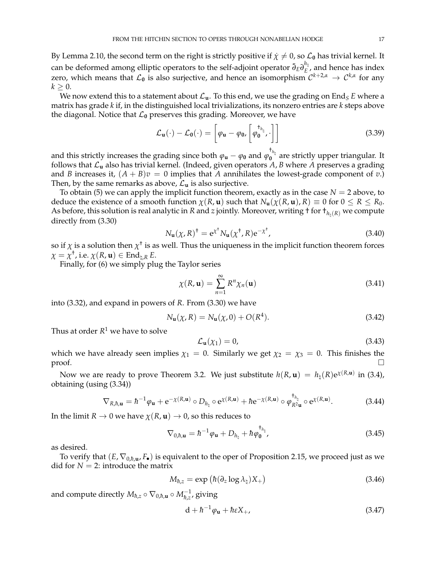By Lemma [2.10,](#page-7-5) the second term on the right is strictly positive if  $\chi \neq 0$ , so  $\mathcal{L}_0$  has trivial kernel. It can be deformed among elliptic operators to the self-adjoint operator  $\bar{\partial}_E \partial_E^{h_\natural}$  $E^{\text{eq}}$ , and hence has index zero, which means that  $\mathcal{L}_0$  is also surjective, and hence an isomorphism  $\mathcal{C}^{k+2,\alpha}\to\mathcal{C}^{k,\alpha}$  for any  $k > 0$ .

We now extend this to a statement about  $\mathcal{L}_{u}$ . To this end, we use the grading on End<sub>S</sub> *E* where a matrix has grade *k* if, in the distinguished local trivializations, its nonzero entries are *k* steps above the diagonal. Notice that  $\mathcal{L}_0$  preserves this grading. Moreover, we have

$$
\mathcal{L}_{\mathbf{u}}(\cdot) - \mathcal{L}_{\mathbf{0}}(\cdot) = \left[ \varphi_{\mathbf{u}} - \varphi_{\mathbf{0}} \left[ \varphi_{\mathbf{0}}^{\dagger_{h_{\natural}}}, \cdot \right] \right]
$$
(3.39)

and this strictly increases the grading since both  $\varphi_{\bf u}-\varphi_0$  and  $\varphi_0^{\dagger_{h_\natural}}$  are strictly upper triangular. It follows that L**<sup>u</sup>** also has trivial kernel. (Indeed, given operators *A*, *B* where *A* preserves a grading and *B* increases it,  $(A + B)v = 0$  implies that *A* annihilates the lowest-grade component of *v*.) Then, by the same remarks as above,  $\mathcal{L}_{\mathbf{u}}$  is also surjective.

To obtain [\(5\)](#page-16-4) we can apply the implicit function theorem, exactly as in the case  $N = 2$  above, to deduce the existence of a smooth function  $\chi(R, \mathbf{u})$  such that  $N_{\mathbf{u}}(\chi(R, \mathbf{u}), R) \equiv 0$  for  $0 \le R \le R_0$ . As before, this solution is real analytic in *R* and *z* jointly. Moreover, writing  $\dagger$  for  $\dagger_{h_h(R)}$  we compute directly from [\(3.30\)](#page-16-5)

$$
N_{\mathbf{u}}(\chi, R)^{\dagger} = e^{\chi^{\dagger}} N_{\mathbf{u}}(\chi^{\dagger}, R) e^{-\chi^{\dagger}}, \tag{3.40}
$$

so if  $\chi$  is a solution then  $\chi^{\dagger}$  is as well. Thus the uniqueness in the implicit function theorem forces  $\chi = \chi^{\dagger}$ , i.e.  $\chi(R, \mathbf{u}) \in \text{End}_{\natural, R} E$ .

Finally, for [\(6\)](#page-16-6) we simply plug the Taylor series

$$
\chi(R, \mathbf{u}) = \sum_{n=1}^{\infty} R^n \chi_n(\mathbf{u})
$$
\n(3.41)

into [\(3.32\)](#page-16-7), and expand in powers of *R*. From [\(3.30\)](#page-16-5) we have

$$
N_{\mathbf{u}}(\chi, R) = N_{\mathbf{u}}(\chi, 0) + O(R^4). \tag{3.42}
$$

Thus at order  $R^1$  we have to solve

$$
\mathcal{L}_{\mathbf{u}}(\chi_1) = 0,\tag{3.43}
$$

which we have already seen implies  $\chi_1 = 0$ . Similarly we get  $\chi_2 = \chi_3 = 0$ . This finishes the proof.  $\Box$ 

Now we are ready to prove Theorem [3.2.](#page-13-1) We just substitute  $h(R, \mathbf{u}) = h_{\natural}(R) e^{\chi(R, \mathbf{u})}$  in [\(3.4\)](#page-13-2), obtaining (using [\(3.34\)](#page-16-8))

$$
\nabla_{R,\hbar,\mathbf{u}} = \hbar^{-1}\varphi_{\mathbf{u}} + \mathbf{e}^{-\chi(R,\mathbf{u})} \circ D_{h_{\natural}} \circ \mathbf{e}^{\chi(R,\mathbf{u})} + \hbar \mathbf{e}^{-\chi(R,\mathbf{u})} \circ \varphi_{R^2\mathbf{u}}^{\dagger_{h_{\natural}}} \circ \mathbf{e}^{\chi(R,\mathbf{u})}.
$$
 (3.44)

In the limit  $R \to 0$  we have  $\chi(R, \mathbf{u}) \to 0$ , so this reduces to

$$
\nabla_{0,\hbar,\mathbf{u}} = \hbar^{-1}\varphi_{\mathbf{u}} + D_{h_{\natural}} + \hbar\varphi_{\mathbf{0}}^{\dagger_{h_{\natural}}},\tag{3.45}
$$

as desired.

To verify that  $(E, \nabla_{0,h,\mathbf{u}}, F_{\bullet})$  is equivalent to the oper of Proposition [2.15,](#page-9-1) we proceed just as we did for  $N = 2$ : introduce the matrix

$$
M_{\hbar,z} = \exp\left(\hbar(\partial_z \log \lambda_{\natural})X_+\right) \tag{3.46}
$$

and compute directly  $M_{\hbar,z} \circ \nabla_{0,\hbar,\mathbf{u}} \circ M_{\hbar,z}^{-1}$ , giving

$$
d + \hbar^{-1} \varphi_{\mathbf{u}} + \hbar \varepsilon X_+, \tag{3.47}
$$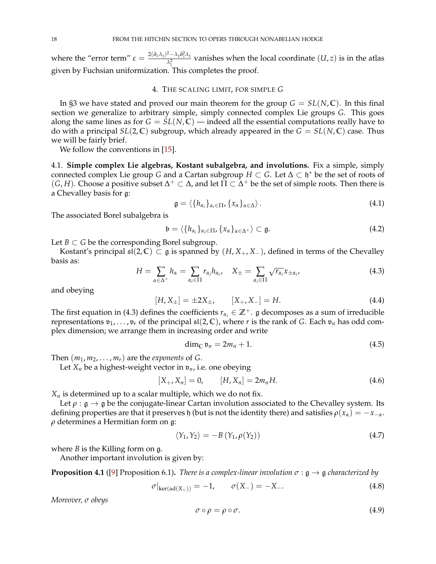where the "error term"  $\varepsilon = \frac{2(\partial_z\lambda_\natural)^2 - \lambda_\natural\partial_z^2\lambda_\natural}{\lambda^2}$  $\frac{1-\lambda_{\natural}\sigma_z\lambda_{\natural}}{\lambda_{\natural}^2}$  vanishes when the local coordinate  $(U,z)$  is in the atlas given by Fuchsian uniformization. This completes the proof.

### 4. THE SCALING LIMIT, FOR SIMPLE *G*

<span id="page-18-0"></span>In [§3](#page-12-0) we have stated and proved our main theorem for the group  $G = SL(N,\mathbb{C})$ . In this final section we generalize to arbitrary simple, simply connected complex Lie groups *G*. This goes along the same lines as for  $G = SL(N, \mathbb{C})$  — indeed all the essential computations really have to do with a principal  $SL(2,\mathbb{C})$  subgroup, which already appeared in the  $G = SL(N,\mathbb{C})$  case. Thus we will be fairly brief.

We follow the conventions in [\[15\]](#page-23-15).

<span id="page-18-1"></span>4.1. **Simple complex Lie algebras, Kostant subalgebra, and involutions.** Fix a simple, simply connected complex Lie group *G* and a Cartan subgroup  $H \subset G$ . Let  $\Delta \subset \mathfrak{h}^*$  be the set of roots of  $(G, H)$ . Choose a positive subset  $\Delta^+ \subset \Delta$ , and let  $\Pi \subset \tilde{\Delta}^+$  be the set of simple roots. Then there is a Chevalley basis for g:

$$
\mathfrak{g} = \langle \{h_{\alpha_i}\}_{\alpha_i \in \Pi}, \{x_\alpha\}_{\alpha \in \Delta} \rangle. \tag{4.1}
$$

The associated Borel subalgebra is

$$
\mathfrak{b}=\langle\{h_{\alpha_i}\}_{\alpha_i\in\Pi},\{x_{\alpha}\}_{\alpha\in\Delta^+}\rangle\subset\mathfrak{g}.\tag{4.2}
$$

Let *B*  $\subset$  *G* be the corresponding Borel subgroup.

Kostant's principal  $\mathfrak{sl}(2,\mathbb{C}) \subset \mathfrak{g}$  is spanned by  $(H, X_+, X_-)$ , defined in terms of the Chevalley basis as:

<span id="page-18-2"></span>
$$
H = \sum_{\alpha \in \Delta^+} h_{\alpha} = \sum_{\alpha_i \in \Pi} r_{\alpha_i} h_{\alpha_i}, \quad X_{\pm} = \sum_{\alpha_i \in \Pi} \sqrt{r_{\alpha_i}} x_{\pm \alpha_i}, \tag{4.3}
$$

and obeying

$$
[H, X_{\pm}] = \pm 2X_{\pm}, \qquad [X_{+}, X_{-}] = H. \tag{4.4}
$$

The first equation in [\(4.3\)](#page-18-2) defines the coefficients  $r_{\alpha_i} \in \mathbb{Z}^+$ . g decomposes as a sum of irreducible representations  $v_1, \ldots, v_r$  of the principal  $\mathfrak{sl}(2, \mathbb{C})$ , where *r* is the rank of *G*. Each  $v_n$  has odd complex dimension; we arrange them in increasing order and write

$$
\dim_{\mathbb{C}} \mathfrak{v}_n = 2m_n + 1. \tag{4.5}
$$

Then  $(m_1, m_2, \ldots, m_r)$  are the *exponents* of *G*.

Let  $X_n$  be a highest-weight vector in  $\mathfrak{v}_n$ , i.e. one obeying

$$
[X_+, X_n] = 0, \t [H, X_n] = 2m_nH. \t (4.6)
$$

*X<sup>n</sup>* is determined up to a scalar multiple, which we do not fix.

Let  $\rho : \mathfrak{g} \to \mathfrak{g}$  be the conjugate-linear Cartan involution associated to the Chevalley system. Its defining properties are that it preserves  $\phi$  (but is not the identity there) and satisfies  $\rho(x_\alpha) = -x_{-\alpha}$ . *ρ* determines a Hermitian form on g:

<span id="page-18-4"></span>
$$
\langle Y_1, Y_2 \rangle = -B \left( Y_1, \rho(Y_2) \right) \tag{4.7}
$$

where *B* is the Killing form on g.

Another important involution is given by:

**Proposition 4.1** ([\[9\]](#page-23-9) Proposition 6.1). *There is a complex-linear involution*  $\sigma : \mathfrak{g} \to \mathfrak{g}$  *characterized by* 

$$
\sigma|_{\ker(\text{ad}(X_+))} = -1, \qquad \sigma(X_-) = -X_-.
$$
\n(4.8)

*Moreover, σ obeys*

<span id="page-18-3"></span>
$$
\sigma \circ \rho = \rho \circ \sigma. \tag{4.9}
$$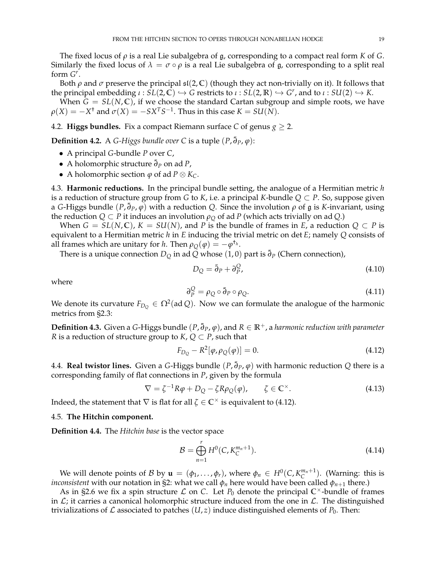The fixed locus of *ρ* is a real Lie subalgebra of g, corresponding to a compact real form *K* of *G*. Similarly the fixed locus of  $\lambda = \sigma \circ \rho$  is a real Lie subalgebra of g, corresponding to a split real form  $G^r$ .

Both  $\rho$  and  $\sigma$  preserve the principal  $\mathfrak{sl}(2,\mathbb{C})$  (though they act non-trivially on it). It follows that  $t$ he principal embedding  $\iota : SL(2,\mathbb{C}) \hookrightarrow G$  restricts to  $\iota : SL(2,\mathbb{R}) \hookrightarrow G^r$ , and to  $\iota : SU(2) \hookrightarrow K$ .

When  $\bar{G} = SL(N, \mathbb{C})$ , if we choose the standard Cartan subgroup and simple roots, we have  $\rho(X) = -X^{\dagger}$  and  $\sigma(X) = -S X^T S^{-1}$ . Thus in this case  $K = SU(N)$ .

<span id="page-19-0"></span>4.2. **Higgs bundles.** Fix a compact Riemann surface *C* of genus  $g \ge 2$ .

**Definition 4.2.** A *G-Higgs bundle over C* is a tuple  $(P, \bar{\partial}_P, \varphi)$ :

- A principal *G*-bundle *P* over *C*,
- A holomorphic structure ¯*∂<sup>P</sup>* on ad *P*,
- $\bullet$  A holomorphic section *ϕ* of ad *P* ⊗ *K*<sub>*C*</sub>.

<span id="page-19-1"></span>4.3. **Harmonic reductions.** In the principal bundle setting, the analogue of a Hermitian metric *h* is a reduction of structure group from *G* to *K*, i.e. a principal *K*-bundle *Q* ⊂ *P*. So, suppose given a *G*-Higgs bundle  $(P, \bar{\partial}_P, \varphi)$  with a reduction *Q*. Since the involution  $\rho$  of  $\mathfrak g$  is *K*-invariant, using the reduction  $Q \subset P$  it induces an involution  $\rho_Q$  of ad *P* (which acts trivially on ad *Q*.)

When  $G = SL(N, \mathbb{C})$ ,  $K = SU(N)$ , and P is the bundle of frames in E, a reduction  $Q \subset P$  is equivalent to a Hermitian metric *h* in *E* inducing the trivial metric on det *E*; namely *Q* consists of all frames which are unitary for *h*. Then  $\rho_Q(\varphi) = -\varphi^{\dagger_h}$ .

There is a unique connection  $D_Q$  in ad  $\overline{Q}$  whose (1,0) part is  $\overline{\partial}_P$  (Chern connection),

$$
D_Q = \bar{\partial}_P + \partial_P^Q,\tag{4.10}
$$

where

$$
\partial_P^Q = \rho_Q \circ \bar{\partial}_P \circ \rho_Q. \tag{4.11}
$$

We denote its curvature  $F_{D_Q} \in \Omega^2(\mathop{\rm ad}\nolimits Q).$  Now we can formulate the analogue of the harmonic metrics from [§2.3:](#page-4-1)

**Definition 4.3.** Given a *G*-Higgs bundle (*P*, ¯*∂P*, *ϕ*), and *R* ∈ **R**+, a *harmonic reduction with parameter R* is a reduction of structure group to *K*,  $Q \subset P$ , such that

<span id="page-19-4"></span>
$$
F_{D_Q} - R^2[\varphi, \rho_Q(\varphi)] = 0.
$$
\n(4.12)

<span id="page-19-2"></span>4.4. **Real twistor lines.** Given a *G*-Higgs bundle (*P*, ¯*∂P*, *ϕ*) with harmonic reduction *Q* there is a corresponding family of flat connections in *P*, given by the formula

$$
\nabla = \zeta^{-1} R \varphi + D_Q - \zeta R \rho_Q(\varphi), \qquad \zeta \in \mathbb{C}^\times. \tag{4.13}
$$

Indeed, the statement that  $\nabla$  is flat for all  $\zeta \in \mathbb{C}^\times$  is equivalent to [\(4.12\)](#page-19-4).

#### <span id="page-19-3"></span>4.5. **The Hitchin component.**

**Definition 4.4.** The *Hitchin base* is the vector space

$$
\mathcal{B} = \bigoplus_{n=1}^{r} H^{0}(C, K_{C}^{m_{n}+1}).
$$
\n(4.14)

We will denote points of B by  $\mathbf{u} = (\phi_1, \dots, \phi_r)$ , where  $\phi_n \in H^0(C, K_C^{m_n+1})$ . (Warning: this is *inconsistent* with our notation in [§2:](#page-3-2) what we call  $\phi_n$  here would have been called  $\phi_{n+1}$  there.)

As in [§2.6](#page-5-1) we fix a spin structure  $\mathcal L$  on  $C$ . Let  $P_0$  denote the principal  $\mathbb C^{\times}$ -bundle of frames in  $\mathcal{L}$ ; it carries a canonical holomorphic structure induced from the one in  $\mathcal{L}$ . The distinguished trivializations of  $\mathcal L$  associated to patches  $(U, z)$  induce distinguished elements of  $P_0$ . Then: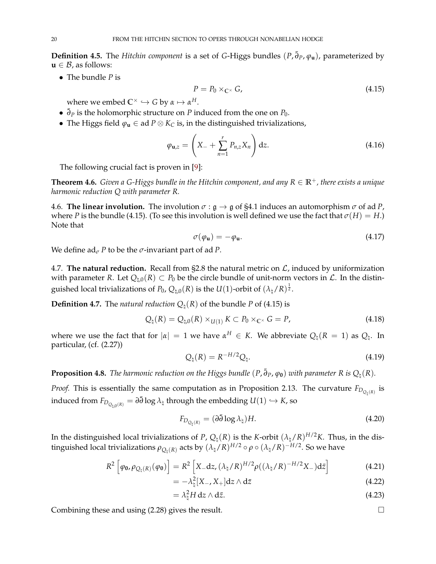**Definition 4.5.** The *Hitchin component* is a set of *G*-Higgs bundles (*P*, ¯*∂P*, *ϕ***u**), parameterized by  $\mathbf{u} \in \mathcal{B}$ , as follows:

• The bundle *P* is

<span id="page-20-2"></span>
$$
P = P_0 \times_{\mathbb{C}^\times} G,\tag{4.15}
$$

where we embed  $\mathbb{C}^{\times} \hookrightarrow G$  by  $\alpha \mapsto \alpha^{H}$ .

- ¯*∂<sup>P</sup>* is the holomorphic structure on *P* induced from the one on *P*0.
- The Higgs field  $\varphi_u \in ad P \otimes K_C$  is, in the distinguished trivializations,

$$
\varphi_{\mathbf{u},z} = \left( X_- + \sum_{n=1}^r P_{n,z} X_n \right) dz.
$$
 (4.16)

The following crucial fact is proven in [\[9\]](#page-23-9):

**Theorem 4.6.** *Given a G-Higgs bundle in the Hitchin component, and any*  $R \in \mathbb{R}^+$ *, there exists a unique harmonic reduction Q with parameter R.*

<span id="page-20-0"></span>4.6. **The linear involution.** The involution  $\sigma : \mathfrak{g} \to \mathfrak{g}$  of [§4.1](#page-18-1) induces an automorphism  $\sigma$  of ad P, where *P* is the bundle [\(4.15\)](#page-20-2). (To see this involution is well defined we use the fact that  $\sigma(H) = H$ .) Note that

<span id="page-20-3"></span>
$$
\sigma(\varphi_{\mathbf{u}}) = -\varphi_{\mathbf{u}}.\tag{4.17}
$$

We define  $ad_{\sigma} P$  to be the  $\sigma$ -invariant part of ad *P*.

<span id="page-20-1"></span>4.7. **The natural reduction.** Recall from [§2.8](#page-7-1) the natural metric on  $\mathcal{L}$ , induced by uniformization with parameter *R*. Let  $Q_{\text{h},0}(R) \subset P_0$  be the circle bundle of unit-norm vectors in  $\mathcal{L}$ . In the distinguished local trivializations of  $P_0$ ,  $Q_{\natural,0}(R)$  is the  $U(1)$ -orbit of  $(\lambda_\natural/R)^{\frac{1}{2}}.$ 

**Definition 4.7.** The *natural reduction*  $Q_1(R)$  of the bundle *P* of [\(4.15\)](#page-20-2) is

$$
Q_{\natural}(R) = Q_{\natural,0}(R) \times_{U(1)} K \subset P_0 \times_{\mathbb{C}^{\times}} G = P,
$$
\n(4.18)

where we use the fact that for  $|\alpha| = 1$  we have  $\alpha^H \in K$ . We abbreviate  $Q_\natural(R = 1)$  as  $Q_\natural$ . In particular, (cf. [\(2.27\)](#page-7-6))

$$
Q_{\natural}(R) = R^{-H/2} Q_{\natural}.
$$
\n(4.19)

<span id="page-20-4"></span>**Proposition 4.8.** *The harmonic reduction on the Higgs bundle*  $(P, \bar{\partial}_P, \varphi_0)$  *with parameter R is*  $Q_\natural(R)$ *.* 

*Proof.* This is essentially the same computation as in Proposition [2.13.](#page-8-5) The curvature  $F_{D_{Q_\natural(R)}}$  is induced from  $F_{D_{Q_{\natural,0}(R)}} = \partial \bar{\partial} \log \lambda_\natural$  through the embedding  $U(1) \hookrightarrow K$ , so

$$
F_{D_{Q_{\natural}(R)}} = (\partial \bar{\partial} \log \lambda_{\natural}) H. \tag{4.20}
$$

In the distinguished local trivializations of *P*,  $Q_\natural(R)$  is the *K*-orbit  $(\lambda_\natural/R)^{H/2}K$ . Thus, in the distinguished local trivializations  $\rho_{Q_\natural(R)}$  acts by  $(\lambda_\natural/R)^{H/2} \circ \rho \circ (\lambda_\natural/R)^{-H/2}.$  So we have

$$
R^2 \left[ \varphi_{\mathbf{0}} , \varphi_{Q_{\natural}(R)}(\varphi_{\mathbf{0}}) \right] = R^2 \left[ X_- \mathrm{d}z , (\lambda_{\natural}/R)^{H/2} \rho ((\lambda_{\natural}/R)^{-H/2} X_-) \mathrm{d}\bar{z} \right]
$$
(4.21)

$$
= -\lambda_{\sharp}^{2}[X_{-}, X_{+}]dz \wedge d\bar{z}
$$
\n(4.22)

$$
= \lambda_{\sharp}^2 H \, dz \wedge d\bar{z}.
$$
 (4.23)

Combining these and using [\(2.28\)](#page-7-3) gives the result.

$$
\sqcup
$$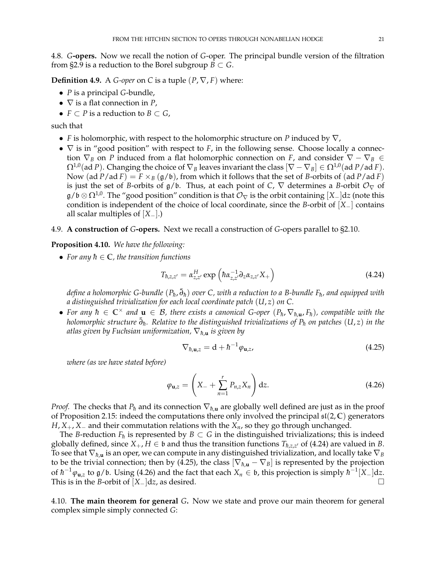<span id="page-21-0"></span>4.8. *G***-opers.** Now we recall the notion of *G*-oper. The principal bundle version of the filtration from [§2.9](#page-8-0) is a reduction to the Borel subgroup  $B \subset G$ .

**Definition 4.9.** A *G-oper* on *C* is a tuple  $(P, \nabla, F)$  where:

- *P* is a principal *G*-bundle,
- ∇ is a flat connection in *P*,
- $F \subset P$  is a reduction to  $B \subset G$ ,

such that

- *F* is holomorphic, with respect to the holomorphic structure on *P* induced by ∇,
- ∇ is in "good position" with respect to *F*, in the following sense. Choose locally a connection  $\nabla_B$  on *P* induced from a flat holomorphic connection on *F*, and consider  $\nabla - \nabla_B \in$  $\Omega^{1,0}$ (ad *P*). Changing the choice of  $\nabla_B$  leaves invariant the class  $[\nabla - \nabla_B] \in \Omega^{1,0}$ (ad *P*/ad *F*). Now  $(ad P/ad F) = F \times_B (g/b)$ , from which it follows that the set of *B*-orbits of  $(ad P/ad F)$ is just the set of *B*-orbits of  $g/b$ . Thus, at each point of *C*,  $\nabla$  determines a *B*-orbit  $\mathcal{O}_{\nabla}$  of  $g/b \otimes \Omega^{1,0}$ . The "good position" condition is that  $\mathcal{O}_{\nabla}$  is the orbit containing  $[X_{-}]$ d*z* (note this condition is independent of the choice of local coordinate, since the *B*-orbit of [*X*−] contains all scalar multiples of [*X*−].)
- <span id="page-21-1"></span>4.9. **A construction of** *G***-opers.** Next we recall a construction of *G*-opers parallel to [§2.10.](#page-9-0)

<span id="page-21-6"></span>**Proposition 4.10.** *We have the following:*

• For any  $h \in \mathbb{C}$ , the transition functions

<span id="page-21-3"></span>
$$
T_{\hbar,z,z'} = \alpha_{z,z'}^H \exp\left(\hbar \alpha_{z,z'}^{-1} \partial_z \alpha_{z,z'} X_+\right) \tag{4.24}
$$

 $d$ efine a holomorphic G-bundle  $(P_\hbar,\bar{\partial}_\hbar)$  over C, with a reduction to a B-bundle F $_\hbar$ , and equipped with *a distinguished trivialization for each local coordinate patch* (*U*, *z*) *on C.*

• For any  $\hbar \in \mathbb{C}^\times$  and  $\mathbf{u} \in \mathcal{B}$ , there exists a canonical G-oper  $(P_{\hbar}, \nabla_{\hbar, \mathbf{u}}, F_{\hbar})$ , compatible with the *holomorphic structure* ¯*∂h*¯ *. Relative to the distinguished trivializations of Ph*¯ *on patches* (*U*, *z*) *in the atlas given by Fuchsian uniformization,*  $\nabla_{h,\mathbf{u}}$  *is given by* 

<span id="page-21-4"></span>
$$
\nabla_{\hbar, \mathbf{u}, z} = \mathbf{d} + \hbar^{-1} \varphi_{\mathbf{u}, z}, \tag{4.25}
$$

*where (as we have stated before)*

<span id="page-21-5"></span>
$$
\varphi_{\mathbf{u},z} = \left( X_- + \sum_{n=1}^r P_{n,z} X_n \right) dz.
$$
 (4.26)

*Proof.* The checks that  $P_h$  and its connection  $\nabla_{h,\mathbf{u}}$  are globally well defined are just as in the proof of Proposition [2.15:](#page-9-1) indeed the computations there only involved the principal sl(2, **C**) generators *H*, *X*<sub>+</sub>, *X*<sup>−</sup> and their commutation relations with the *X<sub>n</sub>*, so they go through unchanged.

The *B*-reduction  $F_{\hbar}$  is represented by  $B \subset G$  in the distinguished trivializations; this is indeed globally defined, since  $X_+$ ,  $H \in \mathfrak{b}$  and thus the transition functions  $T_{\hbar,z,z'}$  of [\(4.24\)](#page-21-3) are valued in *B*. To see that  $\nabla_{\hbar, \mathbf{u}}$  is an oper, we can compute in any distinguished trivialization, and locally take  $\nabla_B$ to be the trivial connection; then by [\(4.25\)](#page-21-4), the class  $[\nabla_{h,\mathbf{u}} - \nabla_B]$  is represented by the projection of  $\hbar^{-1}\varphi_{\mathbf{u},z}$  to  $\mathfrak{g}/\mathfrak{b}$ . Using [\(4.26\)](#page-21-5) and the fact that each  $X_n\in\mathfrak{b}$ , this projection is simply  $\hbar^{-1}[X_-]\mathrm{d} z$ . This is in the *B*-orbit of  $[X_{-}]dz$ , as desired.

<span id="page-21-2"></span>4.10. **The main theorem for general** *G***.** Now we state and prove our main theorem for general complex simple simply connected *G*: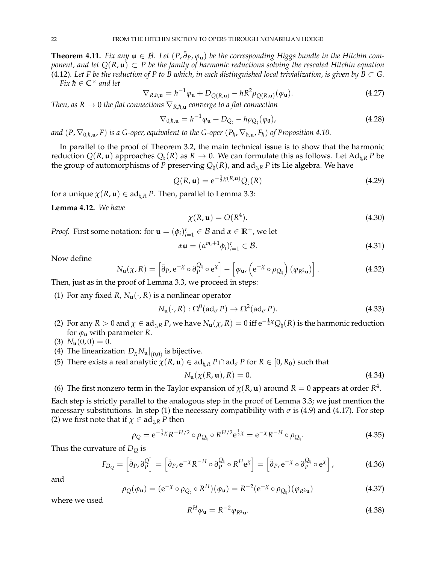<span id="page-22-0"></span>**Theorem 4.11.** *Fix any*  $\mathbf{u} \in \mathcal{B}$ . Let  $(P, \bar{\partial}_P, \varphi_\mathbf{u})$  be the corresponding Higgs bundle in the Hitchin com*ponent, and let Q*(*R*, **u**) ⊂ *P be the family of harmonic reductions solving the rescaled Hitchin equation* [\(4.12\)](#page-19-4). Let F be the reduction of P to B which, in each distinguished local trivialization, is given by  $B \subset G$ . *Fix*  $h \in \mathbb{C}^\times$  *and let* 

$$
\nabla_{R,\hbar,\mathbf{u}} = \hbar^{-1}\varphi_{\mathbf{u}} + D_{Q(R,\mathbf{u})} - \hbar R^2 \rho_{Q(R,\mathbf{u})}(\varphi_{\mathbf{u}}). \tag{4.27}
$$

*Then, as*  $R \to 0$  *the flat connections*  $\nabla_{R,\hbar,\mathbf{u}}$  *converge to a flat connection* 

$$
\nabla_{0,\hbar,\mathbf{u}} = \hbar^{-1}\varphi_{\mathbf{u}} + D_{Q_{\natural}} - \hbar\rho_{Q_{\natural}}(\varphi_{\mathbf{0}}), \qquad (4.28)
$$

 $a$ nd  $(P, \nabla_{0,\hbar,\mathbf{u}},F)$  *is a G-oper, equivalent to the G-oper*  $(P_\hbar, \nabla_{\hbar,\mathbf{u}},F_\hbar)$  *of Proposition [4.10.](#page-21-6)* 

In parallel to the proof of Theorem [3.2,](#page-13-1) the main technical issue is to show that the harmonic reduction  $Q(R, \mathbf{u})$  approaches  $Q_{\text{t}}(R)$  as  $R \to 0$ . We can formulate this as follows. Let Ad<sub>t,R</sub> *P* be the group of automorphisms of *P* preserving  $Q_{\text{h}}(R)$ , and ad<sub> $\text{h}$ </sub> *P* its Lie algebra. We have

$$
Q(R, \mathbf{u}) = e^{-\frac{1}{2}\chi(R, \mathbf{u})} Q_{\natural}(R)
$$
\n(4.29)

for a unique  $\chi(R, \mathbf{u}) \in \text{ad}_{\natural, R}$  *P*. Then, parallel to Lemma [3.3:](#page-16-9)

**Lemma 4.12.** *We have*

$$
\chi(R, \mathbf{u}) = O(R^4). \tag{4.30}
$$

*Proof.* First some notation: for  $\mathbf{u} = (\phi_i)_{i=1}^r \in \mathcal{B}$  and  $\alpha \in \mathbb{R}^+$ , we let

$$
\alpha \mathbf{u} = (\alpha^{m_i+1} \phi_i)_{i=1}^r \in \mathcal{B}.\tag{4.31}
$$

Now define

$$
N_{\mathbf{u}}(\chi, R) = \left[ \bar{\partial}_P, e^{-\chi} \circ \partial_P^{Q_{\natural}} \circ e^{\chi} \right] - \left[ \varphi_{\mathbf{u}} , \left( e^{-\chi} \circ \rho_{Q_{\natural}} \right) (\varphi_{R^2 \mathbf{u}}) \right]. \tag{4.32}
$$

Then, just as in the proof of Lemma [3.3,](#page-16-9) we proceed in steps:

<span id="page-22-1"></span>(1) For any fixed *R*,  $N_{\mathbf{u}}(\cdot, R)$  is a nonlinear operator

$$
N_{\mathbf{u}}(\cdot, R) : \Omega^0(\mathrm{ad}_{\sigma} P) \to \Omega^2(\mathrm{ad}_{\sigma} P). \tag{4.33}
$$

<span id="page-22-2"></span>(2) For any  $R>0$  and  $\chi\in {\rm ad}_{\natural,R}\, P$ , we have  $N_{\bf u}(\chi,R)=0$  iff  ${\rm e}^{-\frac12\chi}Q_\natural(R)$  is the harmonic reduction for  $\varphi$ **u** with parameter *R*.

<span id="page-22-3"></span>
$$
(3) N_{\mathbf{u}}(0,0) = 0.
$$

- <span id="page-22-4"></span>(4) The linearization  $D_{\chi}N_{\mathbf{u}}|_{(0,0)}$  is bijective.
- <span id="page-22-5"></span>(5) There exists a real analytic  $\chi(R, \mathbf{u}) \in \text{ad}_{\natural,R} P \cap \text{ad}_{\sigma} P$  for  $R \in [0, R_0)$  such that

$$
N_{\mathbf{u}}(\chi(R, \mathbf{u}), R) = 0. \tag{4.34}
$$

<span id="page-22-6"></span>(6) The first nonzero term in the Taylor expansion of  $\chi(R, \mathbf{u})$  around  $R = 0$  appears at order  $R^4$ .

Each step is strictly parallel to the analogous step in the proof of Lemma [3.3;](#page-16-9) we just mention the necessary substitutions. In step [\(1\)](#page-22-1) the necessary compatibility with  $\sigma$  is [\(4.9\)](#page-18-3) and [\(4.17\)](#page-20-3). For step [\(2\)](#page-22-2) we first note that if  $\chi \in ad_{\mathfrak{h},R} P$  then

$$
\rho_Q = e^{-\frac{1}{2}\chi} R^{-H/2} \circ \rho_{Q_{\natural}} \circ R^{H/2} e^{\frac{1}{2}\chi} = e^{-\chi} R^{-H} \circ \rho_{Q_{\natural}}.
$$
\n(4.35)

Thus the curvature of *D<sup>Q</sup>* is

$$
F_{D_Q} = \left[ \bar{\partial}_P \partial_P^Q \right] = \left[ \bar{\partial}_P \mathbf{e}^{-\chi} R^{-H} \circ \partial_P^{Q_1} \circ R^H \mathbf{e}^{\chi} \right] = \left[ \bar{\partial}_P \mathbf{e}^{-\chi} \circ \partial_P^{Q_1} \circ \mathbf{e}^{\chi} \right],\tag{4.36}
$$

and

$$
\rho_Q(\varphi_\mathbf{u}) = (\mathbf{e}^{-\chi} \circ \rho_{Q_\natural} \circ R^H)(\varphi_\mathbf{u}) = R^{-2} (\mathbf{e}^{-\chi} \circ \rho_{Q_\natural})(\varphi_{R^2 \mathbf{u}})
$$
(4.37)

where we used

$$
R^H \varphi_{\mathbf{u}} = R^{-2} \varphi_{R^2 \mathbf{u}}.
$$
\n
$$
(4.38)
$$